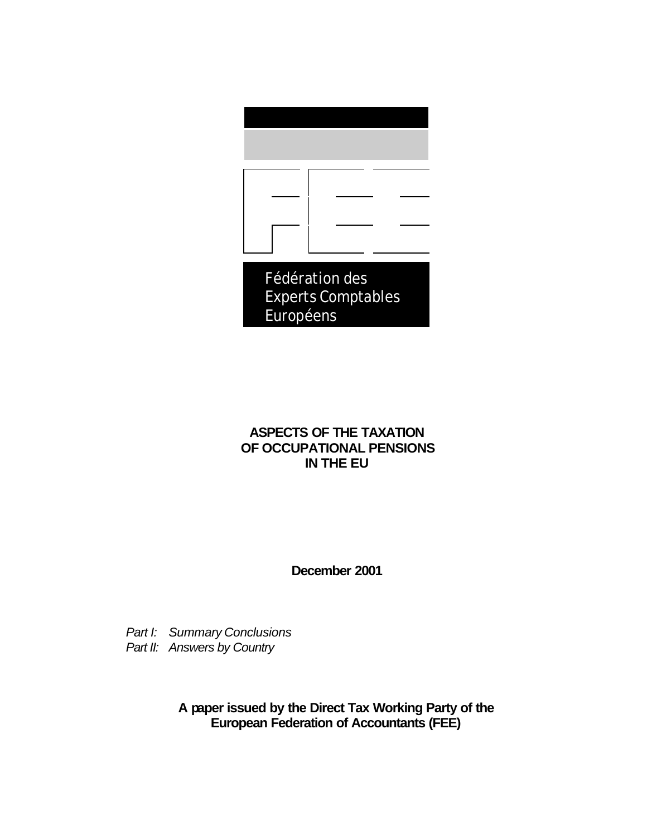

## **ASPECTS OF THE TAXATION OF OCCUPATIONAL PENSIONS IN THE EU**

**December 2001**

*Part I: Summary Conclusions Part II: Answers by Country*

> **A paper issued by the Direct Tax Working Party of the European Federation of Accountants (FEE)**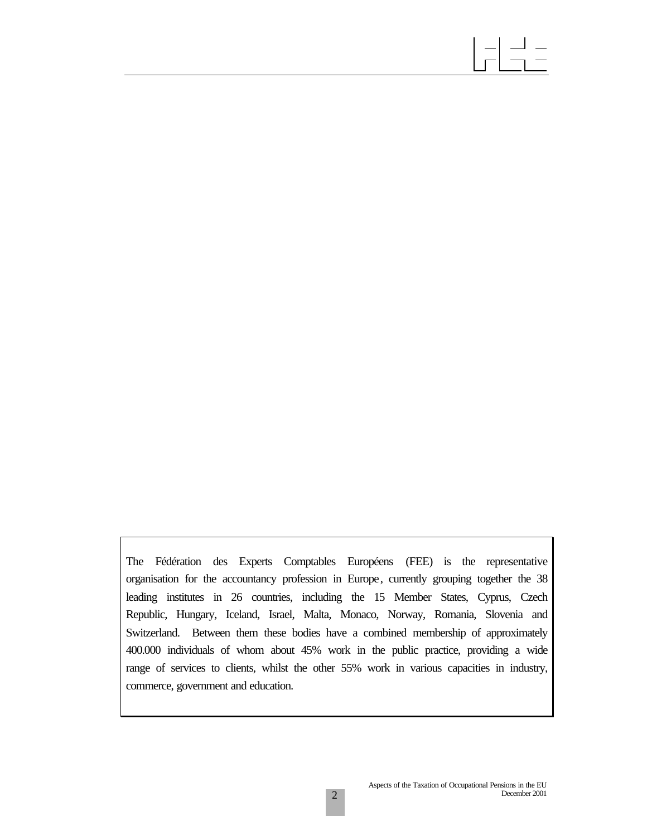The Fédération des Experts Comptables Européens (FEE) is the representative organisation for the accountancy profession in Europe, currently grouping together the 38 leading institutes in 26 countries, including the 15 Member States, Cyprus, Czech Republic, Hungary, Iceland, Israel, Malta, Monaco, Norway, Romania, Slovenia and Switzerland. Between them these bodies have a combined membership of approximately 400.000 individuals of whom about 45% work in the public practice, providing a wide range of services to clients, whilst the other 55% work in various capacities in industry, commerce, government and education.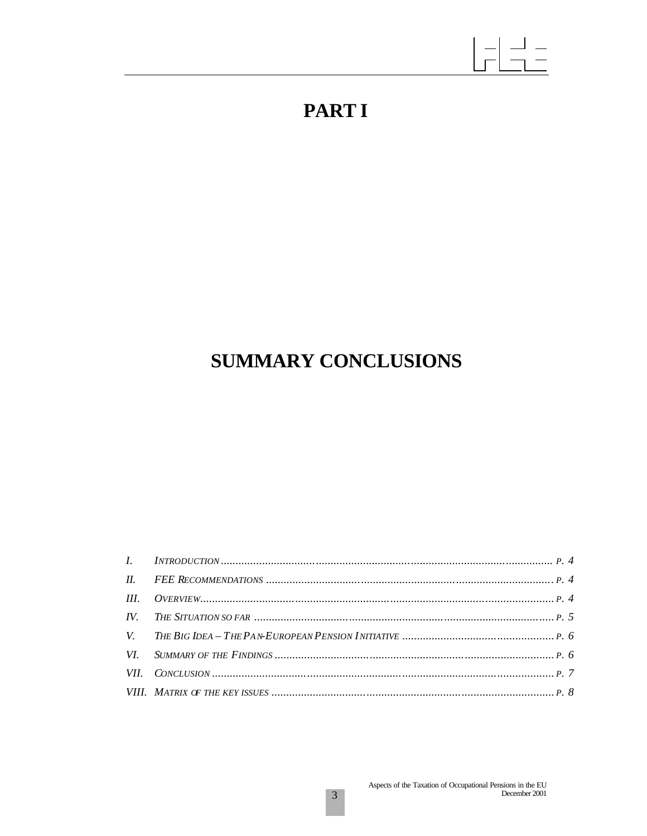# **PARTI**

## **SUMMARY CONCLUSIONS**

| VII. CONCLUSION $\ldots$ $\ldots$ $\ldots$ $\ldots$ $\ldots$ $\ldots$ $\ldots$ $\ldots$ $\ldots$ $\ldots$ $\ldots$ $\ldots$ $\ldots$ $\ldots$ $\ldots$ $\ldots$ $\ldots$ $\ldots$ $\ldots$ $\ldots$ $\ldots$ $\ldots$ $\ldots$ $\ldots$ $\ldots$ $\ldots$ $\ldots$ $\ldots$ $\ldots$ $\ldots$ $\ldots$ $\ldots$ $\ldots$ $\ldots$ |  |
|-----------------------------------------------------------------------------------------------------------------------------------------------------------------------------------------------------------------------------------------------------------------------------------------------------------------------------------|--|
|                                                                                                                                                                                                                                                                                                                                   |  |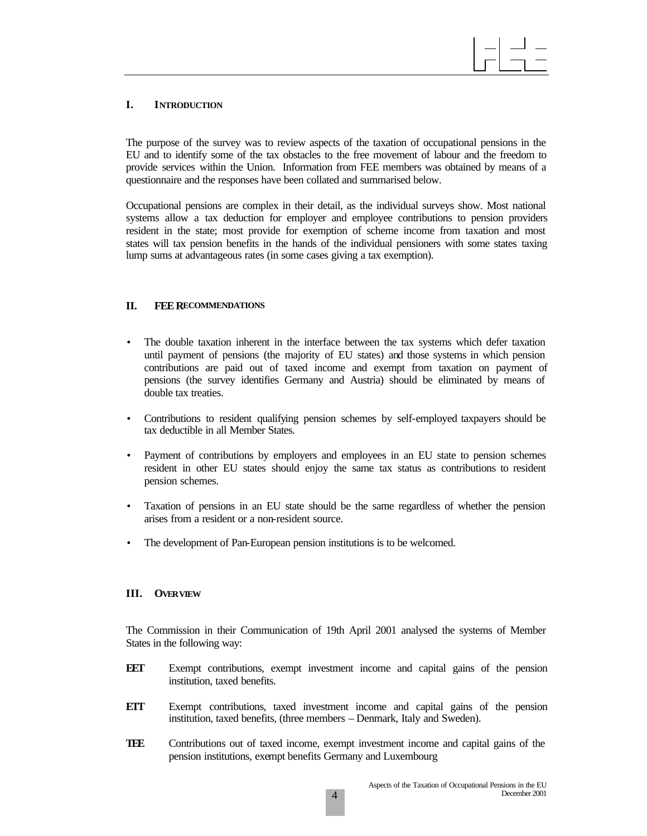## **I. INTRODUCTION**

The purpose of the survey was to review aspects of the taxation of occupational pensions in the EU and to identify some of the tax obstacles to the free movement of labour and the freedom to provide services within the Union. Information from FEE members was obtained by means of a questionnaire and the responses have been collated and summarised below.

Occupational pensions are complex in their detail, as the individual surveys show. Most national systems allow a tax deduction for employer and employee contributions to pension providers resident in the state; most provide for exemption of scheme income from taxation and most states will tax pension benefits in the hands of the individual pensioners with some states taxing lump sums at advantageous rates (in some cases giving a tax exemption).

#### **II. FEE RECOMMENDATIONS**

- The double taxation inherent in the interface between the tax systems which defer taxation until payment of pensions (the majority of EU states) and those systems in which pension contributions are paid out of taxed income and exempt from taxation on payment of pensions (the survey identifies Germany and Austria) should be eliminated by means of double tax treaties.
- Contributions to resident qualifying pension schemes by self-employed taxpayers should be tax deductible in all Member States.
- Payment of contributions by employers and employees in an EU state to pension schemes resident in other EU states should enjoy the same tax status as contributions to resident pension schemes.
- Taxation of pensions in an EU state should be the same regardless of whether the pension arises from a resident or a non-resident source.
- The development of Pan-European pension institutions is to be welcomed.

#### **III. OVERVIEW**

The Commission in their Communication of 19th April 2001 analysed the systems of Member States in the following way:

- **EET** Exempt contributions, exempt investment income and capital gains of the pension institution, taxed benefits.
- **ETT** Exempt contributions, taxed investment income and capital gains of the pension institution, taxed benefits, (three members – Denmark, Italy and Sweden).
- **TEE** Contributions out of taxed income, exempt investment income and capital gains of the pension institutions, exempt benefits Germany and Luxembourg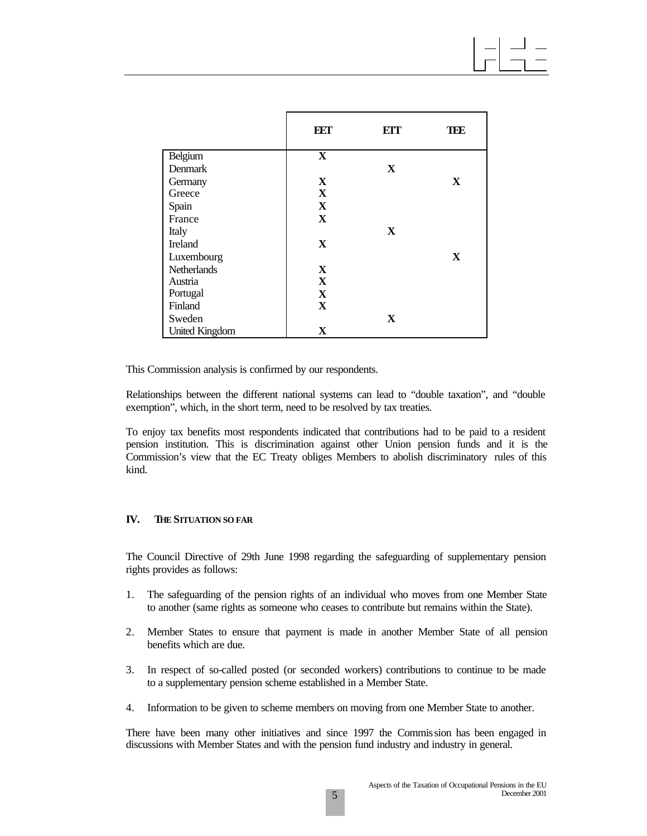|                       | EET          | ETT | TEE |
|-----------------------|--------------|-----|-----|
| Belgium               | X            |     |     |
| Denmark               |              | X   |     |
| Germany               | X            |     | X   |
| Greece                | $\mathbf{x}$ |     |     |
| Spain                 | X            |     |     |
| France                | X            |     |     |
| Italy                 |              | X   |     |
| Ireland               | X            |     |     |
| Luxembourg            |              |     | X   |
| <b>Netherlands</b>    | $\mathbf{X}$ |     |     |
| Austria               | $\mathbf{X}$ |     |     |
| Portugal              | $\mathbf{X}$ |     |     |
| Finland               | X            |     |     |
| Sweden                |              | X   |     |
| <b>United Kingdom</b> | X            |     |     |

This Commission analysis is confirmed by our respondents.

Relationships between the different national systems can lead to "double taxation", and "double exemption", which, in the short term, need to be resolved by tax treaties.

To enjoy tax benefits most respondents indicated that contributions had to be paid to a resident pension institution. This is discrimination against other Union pension funds and it is the Commission's view that the EC Treaty obliges Members to abolish discriminatory rules of this kind.

#### **IV. THE SITUATION SO FAR**

The Council Directive of 29th June 1998 regarding the safeguarding of supplementary pension rights provides as follows:

- 1. The safeguarding of the pension rights of an individual who moves from one Member State to another (same rights as someone who ceases to contribute but remains within the State).
- 2. Member States to ensure that payment is made in another Member State of all pension benefits which are due.
- 3. In respect of so-called posted (or seconded workers) contributions to continue to be made to a supplementary pension scheme established in a Member State.
- 4. Information to be given to scheme members on moving from one Member State to another.

There have been many other initiatives and since 1997 the Commission has been engaged in discussions with Member States and with the pension fund industry and industry in general.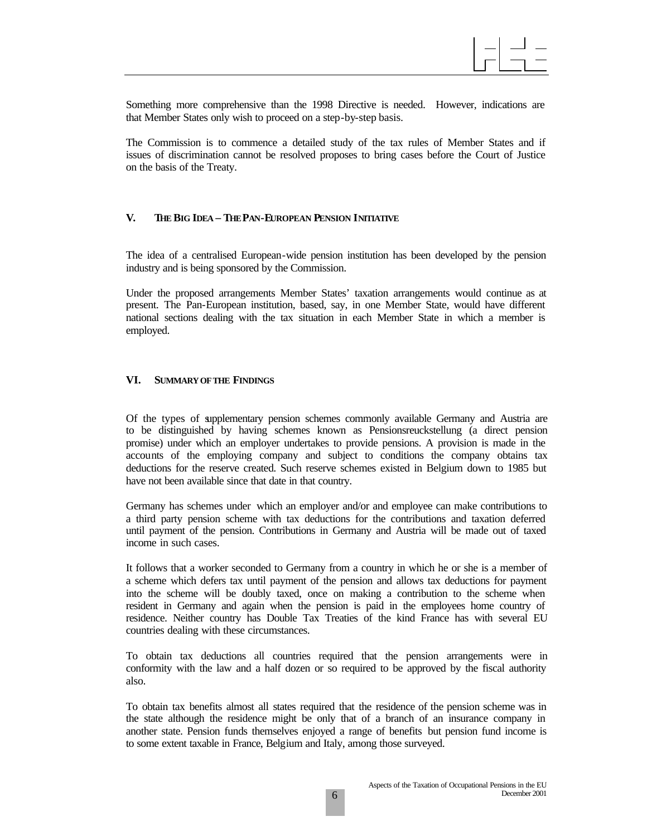

Something more comprehensive than the 1998 Directive is needed. However, indications are that Member States only wish to proceed on a step-by-step basis.

The Commission is to commence a detailed study of the tax rules of Member States and if issues of discrimination cannot be resolved proposes to bring cases before the Court of Justice on the basis of the Treaty.

#### **V. THE BIG IDEA – THE PAN-EUROPEAN PENSION INITIATIVE**

The idea of a centralised European-wide pension institution has been developed by the pension industry and is being sponsored by the Commission.

Under the proposed arrangements Member States' taxation arrangements would continue as at present. The Pan-European institution, based, say, in one Member State, would have different national sections dealing with the tax situation in each Member State in which a member is employed.

#### **VI. SUMMARY OF THE FINDINGS**

Of the types of supplementary pension schemes commonly available Germany and Austria are to be distinguished by having schemes known as Pensionsreuckstellung (a direct pension promise) under which an employer undertakes to provide pensions. A provision is made in the accounts of the employing company and subject to conditions the company obtains tax deductions for the reserve created. Such reserve schemes existed in Belgium down to 1985 but have not been available since that date in that country.

Germany has schemes under which an employer and/or and employee can make contributions to a third party pension scheme with tax deductions for the contributions and taxation deferred until payment of the pension. Contributions in Germany and Austria will be made out of taxed income in such cases.

It follows that a worker seconded to Germany from a country in which he or she is a member of a scheme which defers tax until payment of the pension and allows tax deductions for payment into the scheme will be doubly taxed, once on making a contribution to the scheme when resident in Germany and again when the pension is paid in the employees home country of residence. Neither country has Double Tax Treaties of the kind France has with several EU countries dealing with these circumstances.

To obtain tax deductions all countries required that the pension arrangements were in conformity with the law and a half dozen or so required to be approved by the fiscal authority also.

To obtain tax benefits almost all states required that the residence of the pension scheme was in the state although the residence might be only that of a branch of an insurance company in another state. Pension funds themselves enjoyed a range of benefits but pension fund income is to some extent taxable in France, Belgium and Italy, among those surveyed.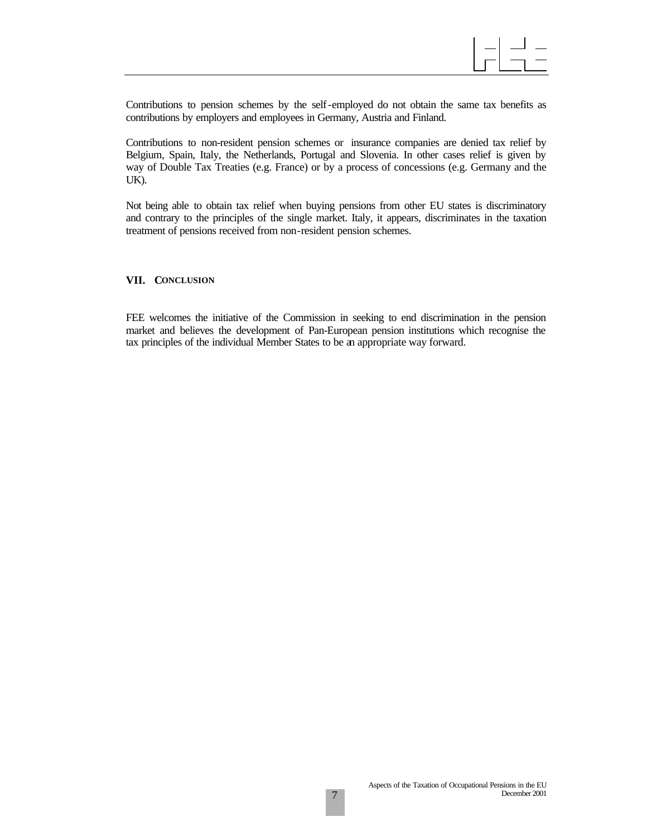

Contributions to pension schemes by the self-employed do not obtain the same tax benefits as contributions by employers and employees in Germany, Austria and Finland.

Contributions to non-resident pension schemes or insurance companies are denied tax relief by Belgium, Spain, Italy, the Netherlands, Portugal and Slovenia. In other cases relief is given by way of Double Tax Treaties (e.g. France) or by a process of concessions (e.g. Germany and the UK).

Not being able to obtain tax relief when buying pensions from other EU states is discriminatory and contrary to the principles of the single market. Italy, it appears, discriminates in the taxation treatment of pensions received from non-resident pension schemes.

#### **VII. CONCLUSION**

FEE welcomes the initiative of the Commission in seeking to end discrimination in the pension market and believes the development of Pan-European pension institutions which recognise the tax principles of the individual Member States to be an appropriate way forward.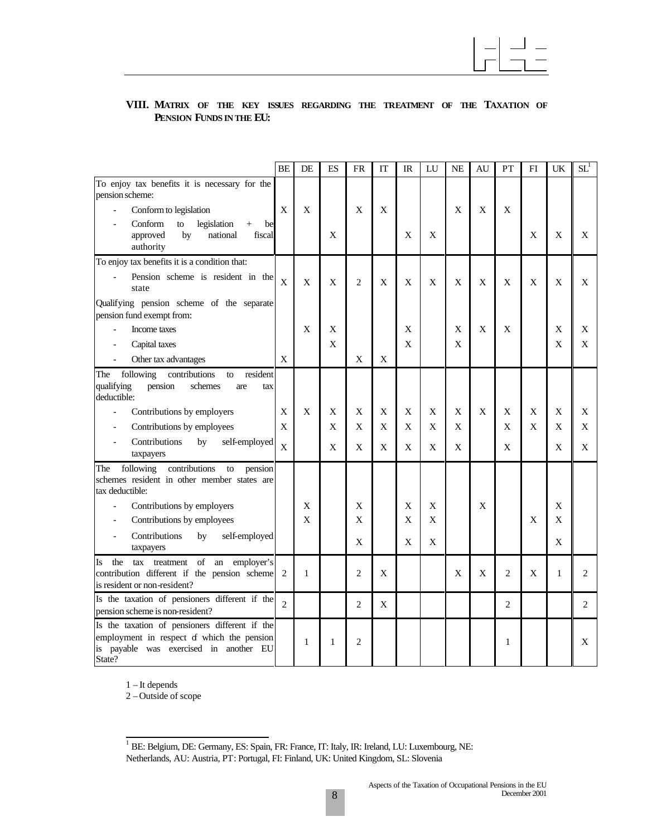

### **VIII. MATRIX OF THE KEY ISSUES REGARDING THE TREATMENT OF THE TAXATION OF PENSION FUNDS IN THE EU:**

|                                                                                                                                                  | <b>BE</b>      | DE          | ES | <b>FR</b>      | IT | IR | LU | <b>NE</b> | AU          | PT | FI | UK | $SL^1$         |
|--------------------------------------------------------------------------------------------------------------------------------------------------|----------------|-------------|----|----------------|----|----|----|-----------|-------------|----|----|----|----------------|
| To enjoy tax benefits it is necessary for the<br>pension scheme:                                                                                 |                |             |    |                |    |    |    |           |             |    |    |    |                |
| Conform to legislation                                                                                                                           | $\mathbf X$    | X           |    | X              | X  |    |    | X         | X           | X  |    |    |                |
| Conform<br>legislation<br>to<br>$+$<br>be<br>by<br>national<br>fiscal<br>approved<br>authority                                                   |                |             | X  |                |    | X  | X  |           |             |    | X  | X  | X              |
| To enjoy tax benefits it is a condition that:                                                                                                    |                |             |    |                |    |    |    |           |             |    |    |    |                |
| Pension scheme is resident in the<br>state                                                                                                       | $\overline{X}$ | X           | X  | 2              | X  | X  | X  | X         | X           | X  | X  | X  | X              |
| Qualifying pension scheme of the separate<br>pension fund exempt from:                                                                           |                |             |    |                |    |    |    |           |             |    |    |    |                |
| Income taxes                                                                                                                                     |                | X           | X  |                |    | X  |    | X         | $\mathbf X$ | X  |    | X  | X              |
| Capital taxes                                                                                                                                    |                |             | X  |                |    | X  |    | X         |             |    |    | X  | X              |
| Other tax advantages<br>$\overline{\phantom{a}}$                                                                                                 | X              |             |    | X              | X  |    |    |           |             |    |    |    |                |
| following<br>contributions<br>resident<br>The<br>to<br>qualifying<br>pension<br>schemes<br>are<br>tax<br>deductible:                             |                |             |    |                |    |    |    |           |             |    |    |    |                |
| Contributions by employers                                                                                                                       | X              | X           | X  | X              | X  | X  | X  | X         | X           | X  | X  | X  | X              |
| Contributions by employees<br>$\blacksquare$                                                                                                     | X              |             | X  | X              | X  | X  | X  | X         |             | X  | X  | X  | X              |
| Contributions<br>self-employed<br>by<br>$\overline{\phantom{a}}$<br>taxpayers                                                                    | $\mathbf{X}$   |             | X  | X              | X  | X  | X  | X         |             | X  |    | X  | X              |
| following<br>contributions<br>${\rm to}$<br>pension<br>The<br>schemes resident in other member states are<br>tax deductible:                     |                |             |    |                |    |    |    |           |             |    |    |    |                |
| Contributions by employers                                                                                                                       |                | X           |    | X              |    | X  | X  |           | X           |    |    | X  |                |
| Contributions by employees                                                                                                                       |                | $\mathbf x$ |    | X              |    | X  | X  |           |             |    | X  | X  |                |
| Contributions<br>self-employed<br>by<br>$\blacksquare$<br>taxpayers                                                                              |                |             |    | X              |    | X  | X  |           |             |    |    | X  |                |
| of an employer's<br>the<br>tax<br>treatment<br>Is<br>contribution different if the pension scheme<br>is resident or non-resident?                | 2              | 1           |    | $\overline{c}$ | X  |    |    | X         | X           | 2  | X  | 1  | $\overline{c}$ |
| Is the taxation of pensioners different if the<br>pension scheme is non-resident?                                                                | $\mathfrak{D}$ |             |    | 2              | X  |    |    |           |             | 2  |    |    | $\overline{c}$ |
| Is the taxation of pensioners different if the<br>employment in respect of which the pension<br>is payable was exercised in another EU<br>State? |                | 1           | 1  | 2              |    |    |    |           |             | 1  |    |    | X              |

1 – It depends

2 – Outside of scope

 1 BE: Belgium, DE: Germany, ES: Spain, FR: France, IT: Italy, IR: Ireland, LU: Luxembourg, NE: Netherlands, AU: Austria, PT: Portugal, FI: Finland, UK: United Kingdom, SL: Slovenia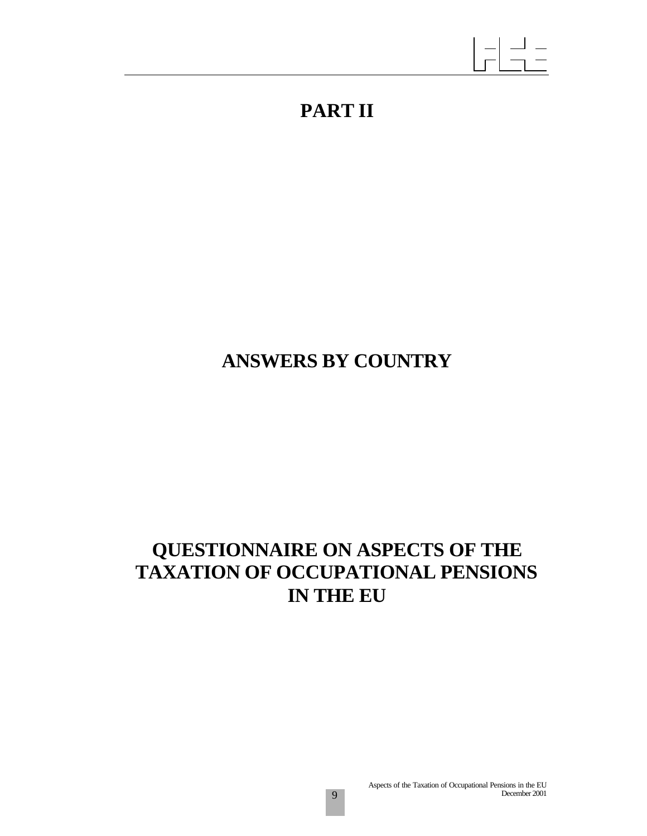## **PART II**

# **ANSWERS BY COUNTRY**

## **QUESTIONNAIRE ON ASPECTS OF THE TAXATION OF OCCUPATIONAL PENSIONS IN THE EU**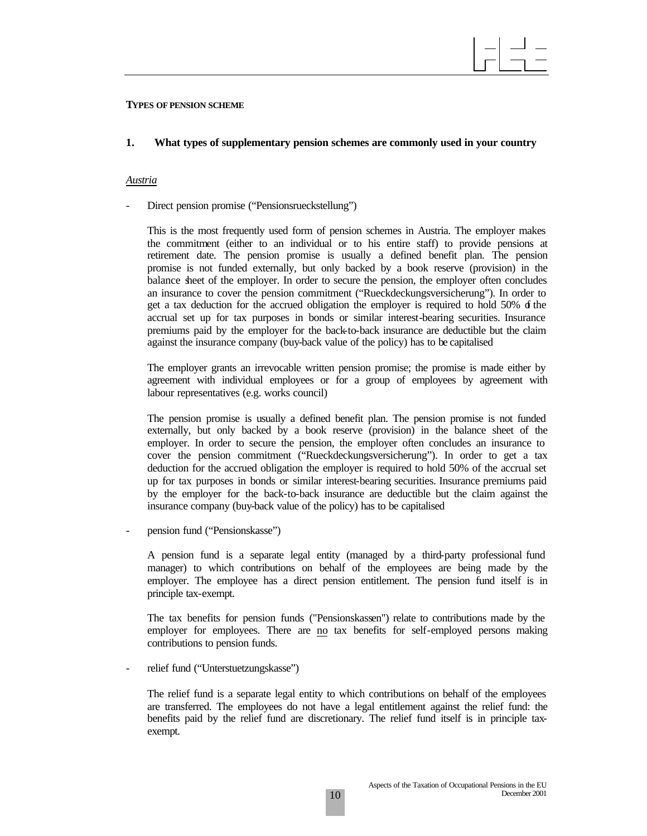#### **TYPES OF PENSION SCHEME**

#### **1. What types of supplementary pension schemes are commonly used in your country**

#### *Austria*

Direct pension promise ("Pensionsrueckstellung")

This is the most frequently used form of pension schemes in Austria. The employer makes the commitment (either to an individual or to his entire staff) to provide pensions at retirement date. The pension promise is usually a defined benefit plan. The pension promise is not funded externally, but only backed by a book reserve (provision) in the balance sheet of the employer. In order to secure the pension, the employer often concludes an insurance to cover the pension commitment ("Rueckdeckungsversicherung"). In order to get a tax deduction for the accrued obligation the employer is required to hold 50%  $\delta$  the accrual set up for tax purposes in bonds or similar interest-bearing securities. Insurance premiums paid by the employer for the back-to-back insurance are deductible but the claim against the insurance company (buy-back value of the policy) has to be capitalised

The employer grants an irrevocable written pension promise; the promise is made either by agreement with individual employees or for a group of employees by agreement with labour representatives (e.g. works council)

The pension promise is usually a defined benefit plan. The pension promise is not funded externally, but only backed by a book reserve (provision) in the balance sheet of the employer. In order to secure the pension, the employer often concludes an insurance to cover the pension commitment ("Rueckdeckungsversicherung"). In order to get a tax deduction for the accrued obligation the employer is required to hold 50% of the accrual set up for tax purposes in bonds or similar interest-bearing securities. Insurance premiums paid by the employer for the back-to-back insurance are deductible but the claim against the insurance company (buy-back value of the policy) has to be capitalised

pension fund ("Pensionskasse")

A pension fund is a separate legal entity (managed by a third-party professional fund manager) to which contributions on behalf of the employees are being made by the employer. The employee has a direct pension entitlement. The pension fund itself is in principle tax-exempt.

The tax benefits for pension funds ("Pensionskassen") relate to contributions made by the employer for employees. There are no tax benefits for self-employed persons making contributions to pension funds.

relief fund ("Unterstuetzungskasse")

The relief fund is a separate legal entity to which contributions on behalf of the employees are transferred. The employees do not have a legal entitlement against the relief fund: the benefits paid by the relief fund are discretionary. The relief fund itself is in principle taxexempt.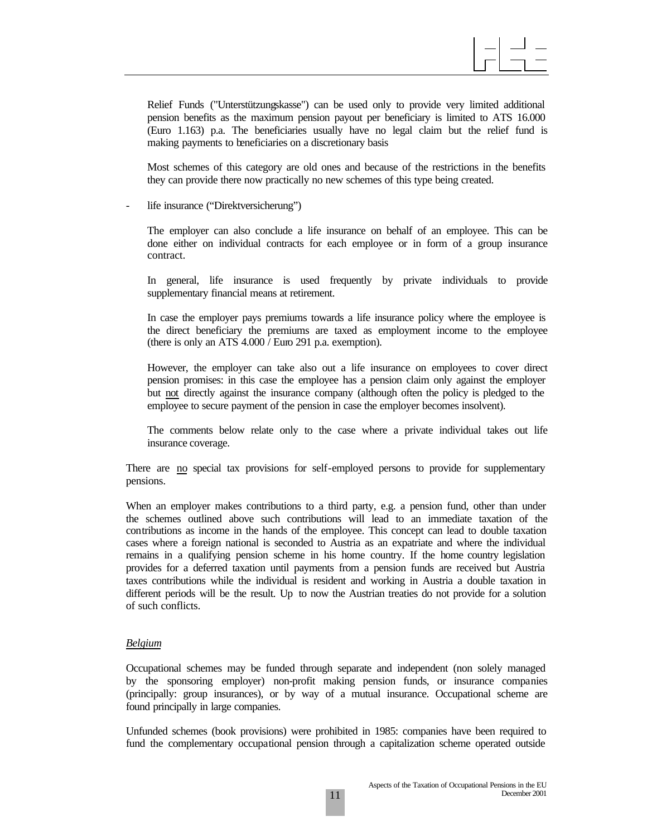Relief Funds ("Unterstützungskasse") can be used only to provide very limited additional pension benefits as the maximum pension payout per beneficiary is limited to ATS 16.000 (Euro 1.163) p.a. The beneficiaries usually have no legal claim but the relief fund is making payments to beneficiaries on a discretionary basis

Most schemes of this category are old ones and because of the restrictions in the benefits they can provide there now practically no new schemes of this type being created.

life insurance ("Direktversicherung")

The employer can also conclude a life insurance on behalf of an employee. This can be done either on individual contracts for each employee or in form of a group insurance contract.

In general, life insurance is used frequently by private individuals to provide supplementary financial means at retirement.

In case the employer pays premiums towards a life insurance policy where the employee is the direct beneficiary the premiums are taxed as employment income to the employee (there is only an ATS 4.000 / Euro 291 p.a. exemption).

However, the employer can take also out a life insurance on employees to cover direct pension promises: in this case the employee has a pension claim only against the employer but not directly against the insurance company (although often the policy is pledged to the employee to secure payment of the pension in case the employer becomes insolvent).

The comments below relate only to the case where a private individual takes out life insurance coverage.

There are no special tax provisions for self-employed persons to provide for supplementary pensions.

When an employer makes contributions to a third party, e.g. a pension fund, other than under the schemes outlined above such contributions will lead to an immediate taxation of the contributions as income in the hands of the employee. This concept can lead to double taxation cases where a foreign national is seconded to Austria as an expatriate and where the individual remains in a qualifying pension scheme in his home country. If the home country legislation provides for a deferred taxation until payments from a pension funds are received but Austria taxes contributions while the individual is resident and working in Austria a double taxation in different periods will be the result. Up to now the Austrian treaties do not provide for a solution of such conflicts.

#### *Belgium*

Occupational schemes may be funded through separate and independent (non solely managed by the sponsoring employer) non-profit making pension funds, or insurance companies (principally: group insurances), or by way of a mutual insurance. Occupational scheme are found principally in large companies.

Unfunded schemes (book provisions) were prohibited in 1985: companies have been required to fund the complementary occupational pension through a capitalization scheme operated outside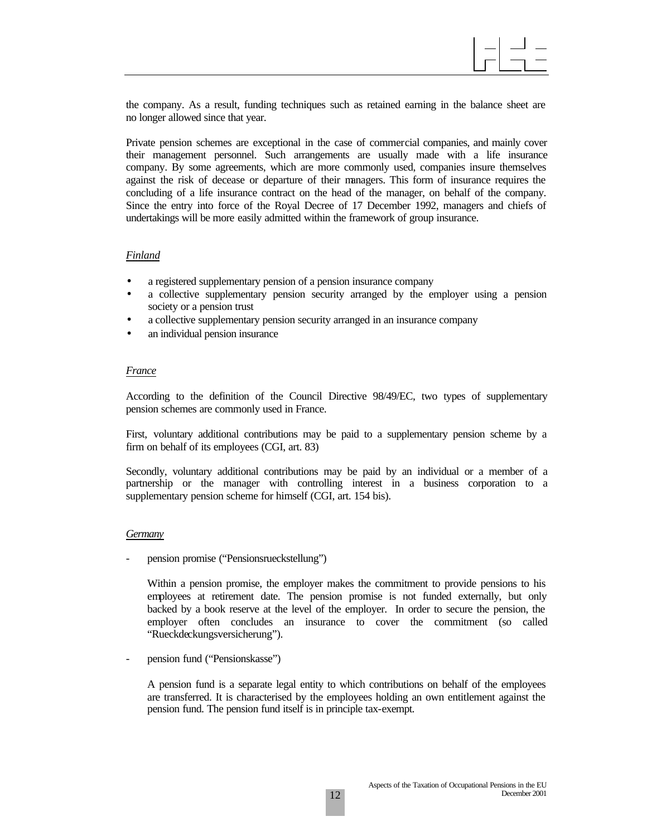the company. As a result, funding techniques such as retained earning in the balance sheet are no longer allowed since that year.

Private pension schemes are exceptional in the case of commercial companies, and mainly cover their management personnel. Such arrangements are usually made with a life insurance company. By some agreements, which are more commonly used, companies insure themselves against the risk of decease or departure of their managers. This form of insurance requires the concluding of a life insurance contract on the head of the manager, on behalf of the company. Since the entry into force of the Royal Decree of 17 December 1992, managers and chiefs of undertakings will be more easily admitted within the framework of group insurance.

#### *Finland*

- a registered supplementary pension of a pension insurance company
- a collective supplementary pension security arranged by the employer using a pension society or a pension trust
- a collective supplementary pension security arranged in an insurance company
- an individual pension insurance

#### *France*

According to the definition of the Council Directive 98/49/EC, two types of supplementary pension schemes are commonly used in France.

First, voluntary additional contributions may be paid to a supplementary pension scheme by a firm on behalf of its employees (CGI, art. 83)

Secondly, voluntary additional contributions may be paid by an individual or a member of a partnership or the manager with controlling interest in a business corporation to a supplementary pension scheme for himself (CGI, art. 154 bis).

#### *Germany*

pension promise ("Pensionsrueckstellung")

Within a pension promise, the employer makes the commitment to provide pensions to his employees at retirement date. The pension promise is not funded externally, but only backed by a book reserve at the level of the employer. In order to secure the pension, the employer often concludes an insurance to cover the commitment (so called "Rueckdeckungsversicherung").

pension fund ("Pensionskasse")

A pension fund is a separate legal entity to which contributions on behalf of the employees are transferred. It is characterised by the employees holding an own entitlement against the pension fund. The pension fund itself is in principle tax-exempt.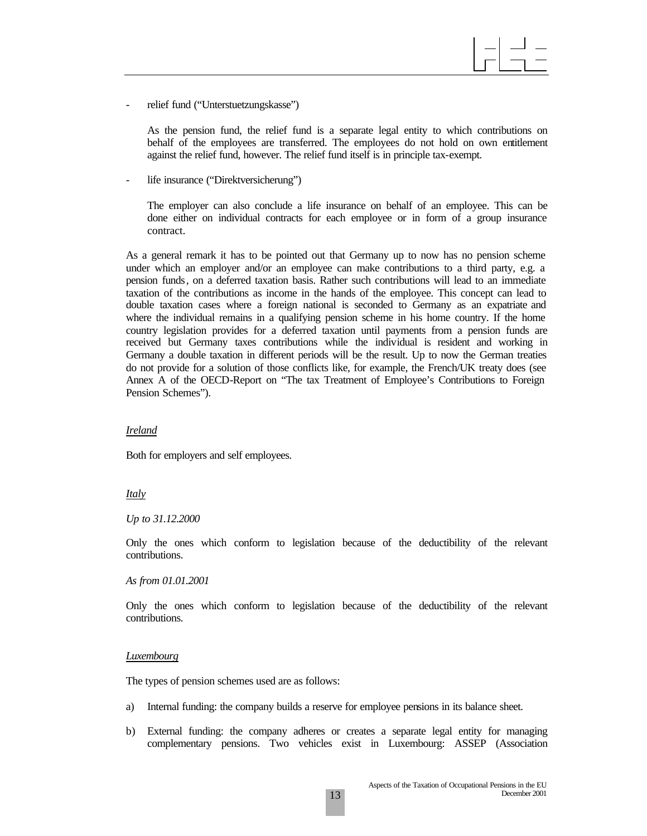relief fund ("Unterstuetzungskasse")

As the pension fund, the relief fund is a separate legal entity to which contributions on behalf of the employees are transferred. The employees do not hold on own entitlement against the relief fund, however. The relief fund itself is in principle tax-exempt.

life insurance ("Direktversicherung")

The employer can also conclude a life insurance on behalf of an employee. This can be done either on individual contracts for each employee or in form of a group insurance contract.

As a general remark it has to be pointed out that Germany up to now has no pension scheme under which an employer and/or an employee can make contributions to a third party, e.g. a pension funds, on a deferred taxation basis. Rather such contributions will lead to an immediate taxation of the contributions as income in the hands of the employee. This concept can lead to double taxation cases where a foreign national is seconded to Germany as an expatriate and where the individual remains in a qualifying pension scheme in his home country. If the home country legislation provides for a deferred taxation until payments from a pension funds are received but Germany taxes contributions while the individual is resident and working in Germany a double taxation in different periods will be the result. Up to now the German treaties do not provide for a solution of those conflicts like, for example, the French/UK treaty does (see Annex A of the OECD-Report on "The tax Treatment of Employee's Contributions to Foreign Pension Schemes").

#### *Ireland*

Both for employers and self employees.

#### *Italy*

#### *Up to 31.12.2000*

Only the ones which conform to legislation because of the deductibility of the relevant contributions.

#### *As from 01.01.2001*

Only the ones which conform to legislation because of the deductibility of the relevant contributions.

#### *Luxembourg*

The types of pension schemes used are as follows:

- a) Internal funding: the company builds a reserve for employee pensions in its balance sheet.
- b) External funding: the company adheres or creates a separate legal entity for managing complementary pensions. Two vehicles exist in Luxembourg: ASSEP (Association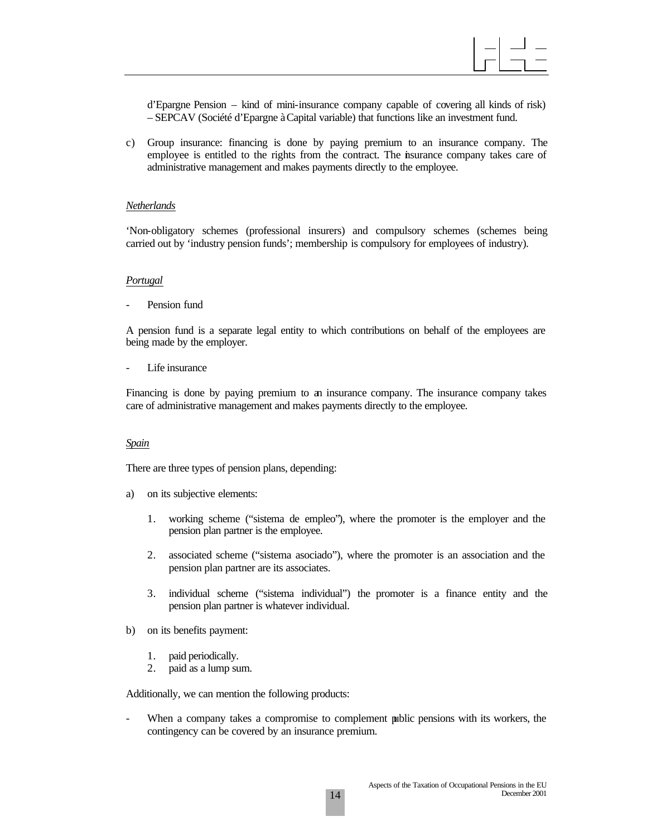d'Epargne Pension – kind of mini-insurance company capable of covering all kinds of risk) – SEPCAV (Société d'Epargne à Capital variable) that functions like an investment fund.

c) Group insurance: financing is done by paying premium to an insurance company. The employee is entitled to the rights from the contract. The insurance company takes care of administrative management and makes payments directly to the employee.

#### *Netherlands*

'Non-obligatory schemes (professional insurers) and compulsory schemes (schemes being carried out by 'industry pension funds'; membership is compulsory for employees of industry).

#### *Portugal*

Pension fund

A pension fund is a separate legal entity to which contributions on behalf of the employees are being made by the employer.

Life insurance

Financing is done by paying premium to an insurance company. The insurance company takes care of administrative management and makes payments directly to the employee.

#### *Spain*

There are three types of pension plans, depending:

- a) on its subjective elements:
	- 1. working scheme ("sistema de empleo"), where the promoter is the employer and the pension plan partner is the employee.
	- 2. associated scheme ("sistema asociado"), where the promoter is an association and the pension plan partner are its associates.
	- 3. individual scheme ("sistema individual") the promoter is a finance entity and the pension plan partner is whatever individual.
- b) on its benefits payment:
	- 1. paid periodically.
	- 2. paid as a lump sum.

Additionally, we can mention the following products:

When a company takes a compromise to complement public pensions with its workers, the contingency can be covered by an insurance premium.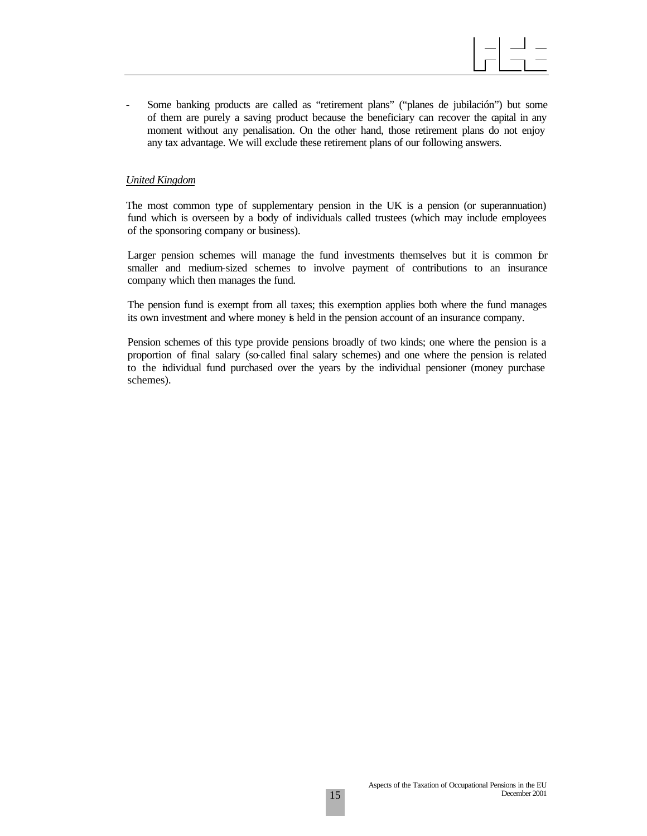- Some banking products are called as "retirement plans" ("planes de jubilación") but some of them are purely a saving product because the beneficiary can recover the capital in any moment without any penalisation. On the other hand, those retirement plans do not enjoy any tax advantage. We will exclude these retirement plans of our following answers.

#### *United Kingdom*

The most common type of supplementary pension in the UK is a pension (or superannuation) fund which is overseen by a body of individuals called trustees (which may include employees of the sponsoring company or business).

Larger pension schemes will manage the fund investments themselves but it is common for smaller and medium-sized schemes to involve payment of contributions to an insurance company which then manages the fund.

The pension fund is exempt from all taxes; this exemption applies both where the fund manages its own investment and where money is held in the pension account of an insurance company.

Pension schemes of this type provide pensions broadly of two kinds; one where the pension is a proportion of final salary (so-called final salary schemes) and one where the pension is related to the individual fund purchased over the years by the individual pensioner (money purchase schemes).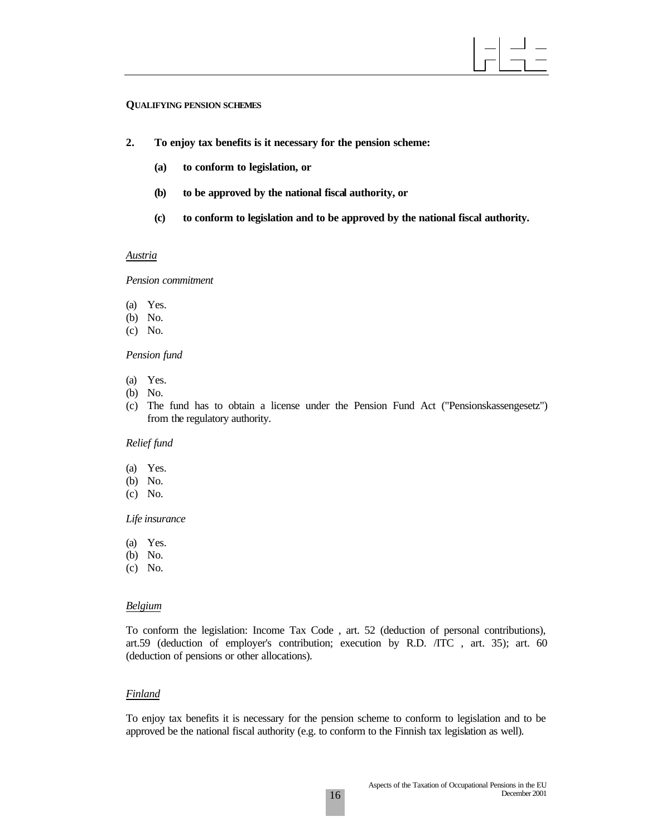#### **QUALIFYING PENSION SCHEMES**

- **2. To enjoy tax benefits is it necessary for the pension scheme:**
	- **(a) to conform to legislation, or**
	- **(b) to be approved by the national fiscal authority, or**
	- **(c) to conform to legislation and to be approved by the national fiscal authority.**

#### *Austria*

*Pension commitment*

- (a) Yes.
- (b) No.
- (c) No.

#### *Pension fund*

- (a) Yes.
- (b) No.
- (c) The fund has to obtain a license under the Pension Fund Act ("Pensionskassengesetz") from the regulatory authority.

#### *Relief fund*

- (a) Yes.
- (b) No.
- (c) No.

#### *Life insurance*

- (a) Yes.
- (b) No.
- (c) No.

#### *Belgium*

To conform the legislation: Income Tax Code , art. 52 (deduction of personal contributions), art.59 (deduction of employer's contribution; execution by R.D. /ITC , art. 35); art. 60 (deduction of pensions or other allocations).

#### *Finland*

To enjoy tax benefits it is necessary for the pension scheme to conform to legislation and to be approved be the national fiscal authority (e.g. to conform to the Finnish tax legislation as well).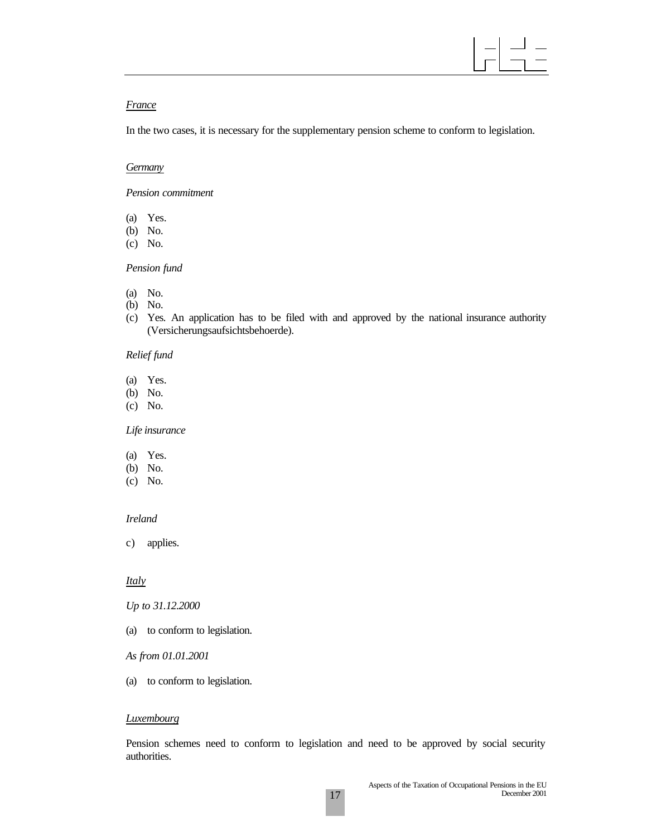

#### *France*

In the two cases, it is necessary for the supplementary pension scheme to conform to legislation.

#### *Germany*

*Pension commitment*

- (a) Yes.
- (b) No.
- (c) No.

#### *Pension fund*

- (a) No.
- (b) No.
- (c) Yes. An application has to be filed with and approved by the national insurance authority (Versicherungsaufsichtsbehoerde).

#### *Relief fund*

- (a) Yes.
- (b) No.
- (c) No.

#### *Life insurance*

- (a) Yes.
- (b) No.
- (c) No.

#### *Ireland*

c) applies.

#### *Italy*

*Up to 31.12.2000*

- (a) to conform to legislation.
- *As from 01.01.2001*
- (a) to conform to legislation.

#### *Luxembourg*

Pension schemes need to conform to legislation and need to be approved by social security authorities.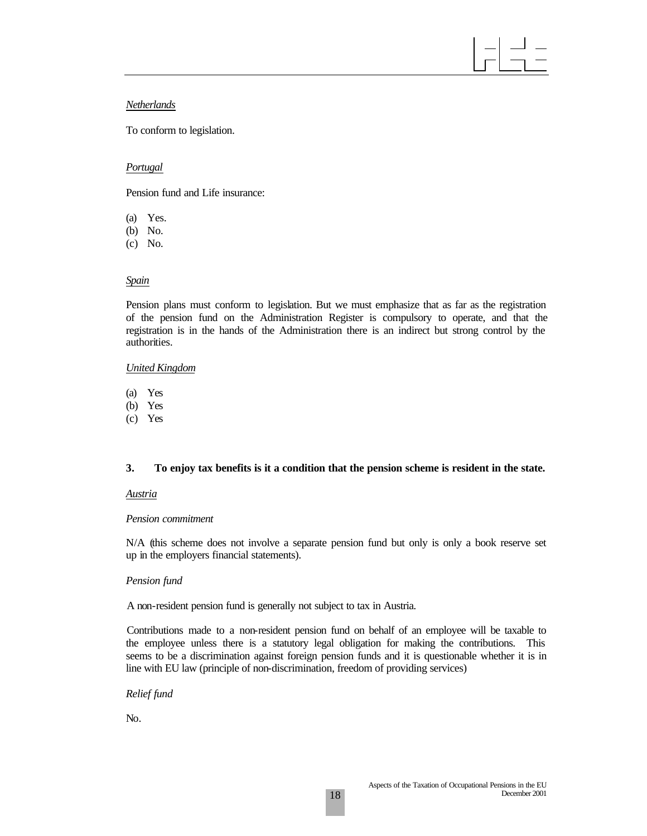#### *Netherlands*

To conform to legislation.

#### *Portugal*

Pension fund and Life insurance:

- (a) Yes.
- (b) No.
- (c) No.

### *Spain*

Pension plans must conform to legislation. But we must emphasize that as far as the registration of the pension fund on the Administration Register is compulsory to operate, and that the registration is in the hands of the Administration there is an indirect but strong control by the authorities.

#### *United Kingdom*

- (a) Yes
- (b) Yes
- (c) Yes

### **3. To enjoy tax benefits is it a condition that the pension scheme is resident in the state.**

#### *Austria*

#### *Pension commitment*

N/A (this scheme does not involve a separate pension fund but only is only a book reserve set up in the employers financial statements).

### *Pension fund*

A non-resident pension fund is generally not subject to tax in Austria.

Contributions made to a non-resident pension fund on behalf of an employee will be taxable to the employee unless there is a statutory legal obligation for making the contributions. This seems to be a discrimination against foreign pension funds and it is questionable whether it is in line with EU law (principle of non-discrimination, freedom of providing services)

#### *Relief fund*

No.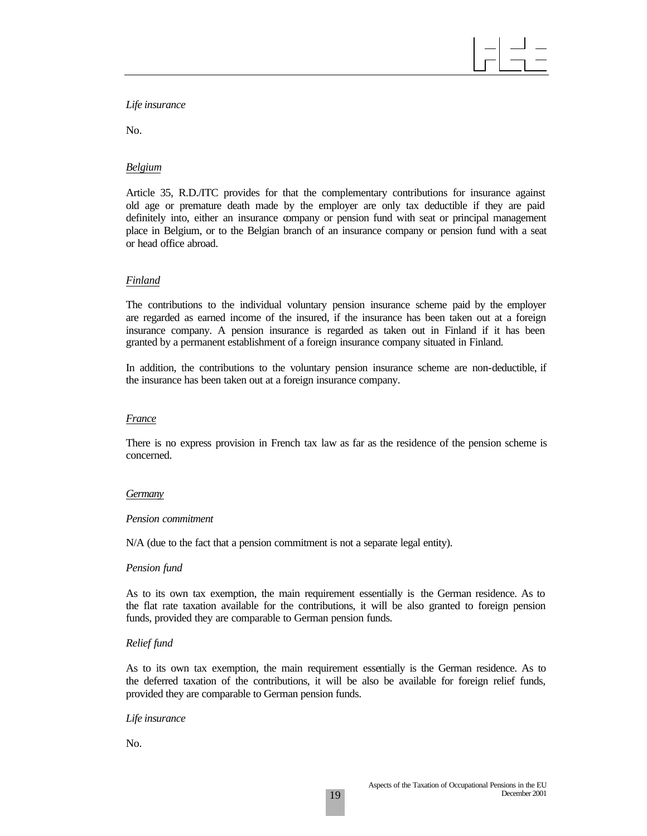#### *Life insurance*

No.

#### *Belgium*

Article 35, R.D./ITC provides for that the complementary contributions for insurance against old age or premature death made by the employer are only tax deductible if they are paid definitely into, either an insurance company or pension fund with seat or principal management place in Belgium, or to the Belgian branch of an insurance company or pension fund with a seat or head office abroad.

#### *Finland*

The contributions to the individual voluntary pension insurance scheme paid by the employer are regarded as earned income of the insured, if the insurance has been taken out at a foreign insurance company. A pension insurance is regarded as taken out in Finland if it has been granted by a permanent establishment of a foreign insurance company situated in Finland.

In addition, the contributions to the voluntary pension insurance scheme are non-deductible, if the insurance has been taken out at a foreign insurance company.

#### *France*

There is no express provision in French tax law as far as the residence of the pension scheme is concerned.

#### *Germany*

#### *Pension commitment*

N/A (due to the fact that a pension commitment is not a separate legal entity).

#### *Pension fund*

As to its own tax exemption, the main requirement essentially is the German residence. As to the flat rate taxation available for the contributions, it will be also granted to foreign pension funds, provided they are comparable to German pension funds.

#### *Relief fund*

As to its own tax exemption, the main requirement essentially is the German residence. As to the deferred taxation of the contributions, it will be also be available for foreign relief funds, provided they are comparable to German pension funds.

#### *Life insurance*

No.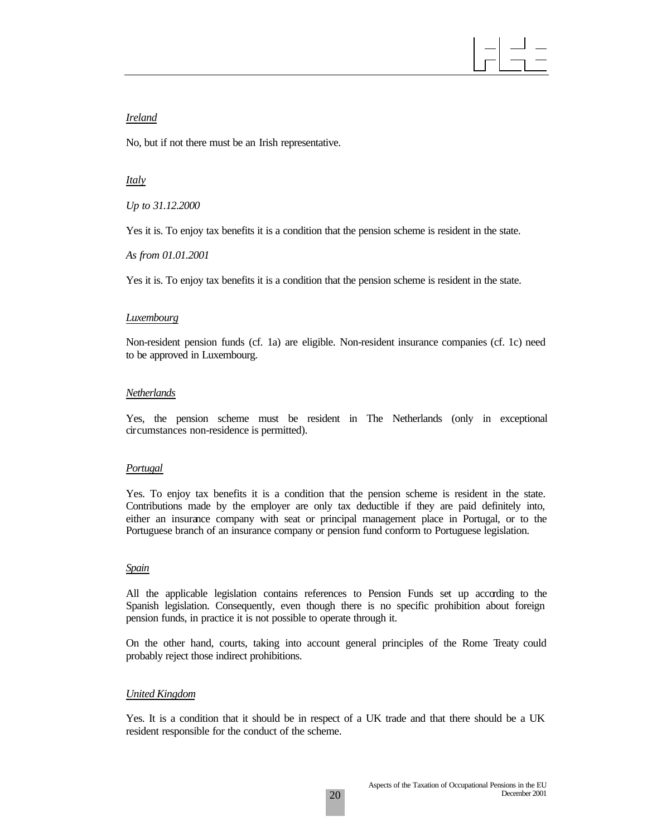#### *Ireland*

No, but if not there must be an Irish representative.

#### *Italy*

*Up to 31.12.2000*

Yes it is. To enjoy tax benefits it is a condition that the pension scheme is resident in the state.

*As from 01.01.2001*

Yes it is. To enjoy tax benefits it is a condition that the pension scheme is resident in the state.

#### *Luxembourg*

Non-resident pension funds (cf. 1a) are eligible. Non-resident insurance companies (cf. 1c) need to be approved in Luxembourg.

#### *Netherlands*

Yes, the pension scheme must be resident in The Netherlands (only in exceptional circumstances non-residence is permitted).

#### *Portugal*

Yes. To enjoy tax benefits it is a condition that the pension scheme is resident in the state. Contributions made by the employer are only tax deductible if they are paid definitely into, either an insurance company with seat or principal management place in Portugal, or to the Portuguese branch of an insurance company or pension fund conform to Portuguese legislation.

#### *Spain*

All the applicable legislation contains references to Pension Funds set up according to the Spanish legislation. Consequently, even though there is no specific prohibition about foreign pension funds, in practice it is not possible to operate through it.

On the other hand, courts, taking into account general principles of the Rome Treaty could probably reject those indirect prohibitions.

#### *United Kingdom*

Yes. It is a condition that it should be in respect of a UK trade and that there should be a UK resident responsible for the conduct of the scheme.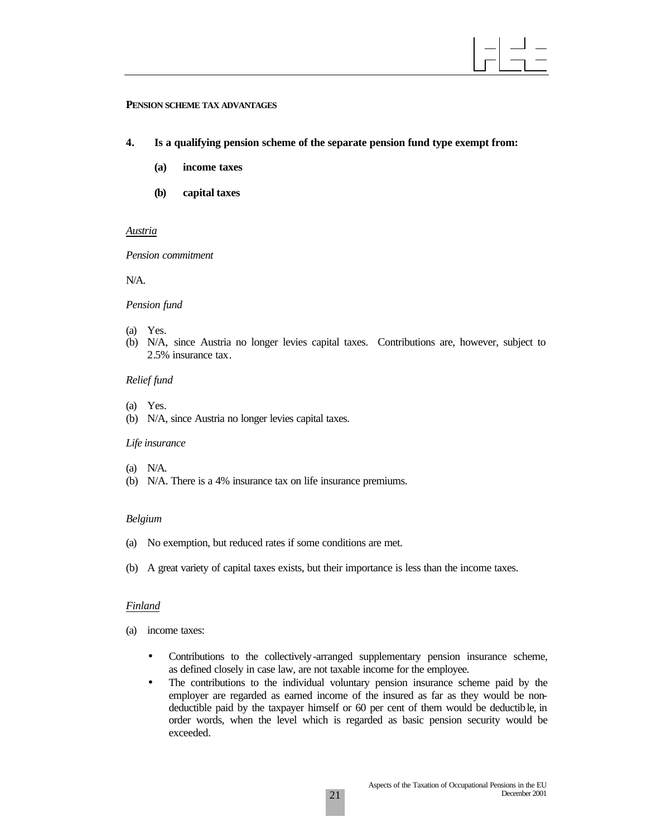#### **PENSION SCHEME TAX ADVANTAGES**

- **4. Is a qualifying pension scheme of the separate pension fund type exempt from:**
	- **(a) income taxes**
	- **(b) capital taxes**

#### *Austria*

#### *Pension commitment*

N/A.

#### *Pension fund*

- (a) Yes.
- (b) N/A, since Austria no longer levies capital taxes. Contributions are, however, subject to 2.5% insurance tax.

#### *Relief fund*

- (a) Yes.
- (b) N/A, since Austria no longer levies capital taxes.

#### *Life insurance*

- (a) N/A.
- (b) N/A. There is a 4% insurance tax on life insurance premiums.

#### *Belgium*

- (a) No exemption, but reduced rates if some conditions are met.
- (b) A great variety of capital taxes exists, but their importance is less than the income taxes.

#### *Finland*

- (a) income taxes:
	- Contributions to the collectively-arranged supplementary pension insurance scheme, as defined closely in case law, are not taxable income for the employee.
	- The contributions to the individual voluntary pension insurance scheme paid by the employer are regarded as earned income of the insured as far as they would be nondeductible paid by the taxpayer himself or 60 per cent of them would be deductible, in order words, when the level which is regarded as basic pension security would be exceeded.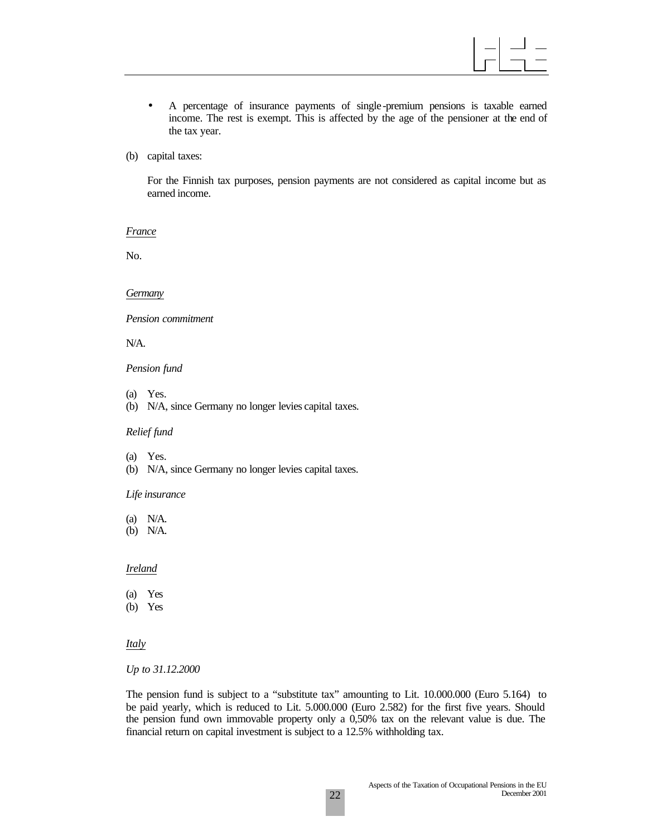

- A percentage of insurance payments of single -premium pensions is taxable earned income. The rest is exempt. This is affected by the age of the pensioner at the end of the tax year.
- (b) capital taxes:

For the Finnish tax purposes, pension payments are not considered as capital income but as earned income.

*France*

No.

#### *Germany*

*Pension commitment*

N/A.

#### *Pension fund*

- (a) Yes.
- (b) N/A, since Germany no longer levies capital taxes.

#### *Relief fund*

- (a) Yes.
- (b) N/A, since Germany no longer levies capital taxes.

#### *Life insurance*

- (a) N/A.
- (b) N/A.

#### *Ireland*

- (a) Yes
- (b) Yes

#### *Italy*

*Up to 31.12.2000*

The pension fund is subject to a "substitute tax" amounting to Lit. 10.000.000 (Euro 5.164) to be paid yearly, which is reduced to Lit. 5.000.000 (Euro 2.582) for the first five years. Should the pension fund own immovable property only a 0,50% tax on the relevant value is due. The financial return on capital investment is subject to a 12.5% withholding tax.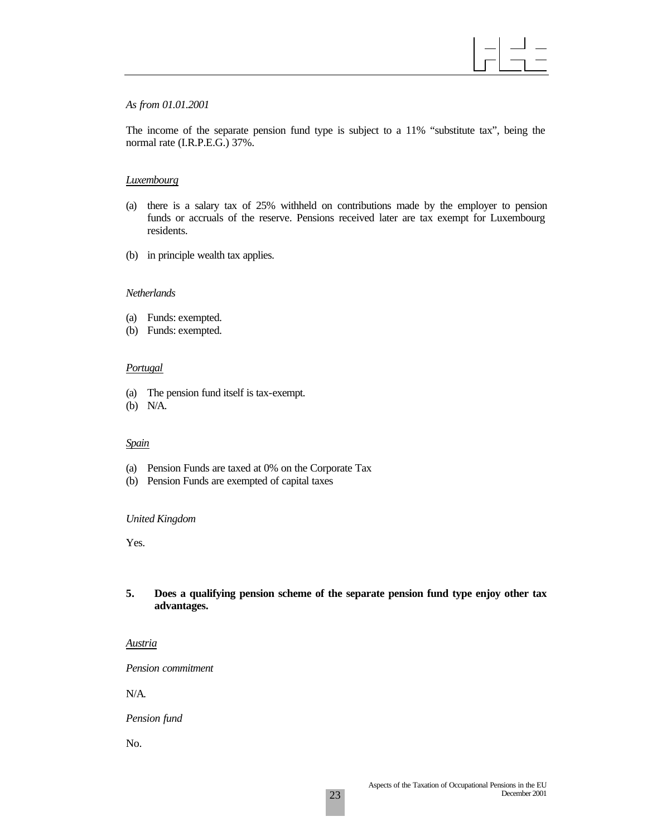#### *As from 01.01.2001*

The income of the separate pension fund type is subject to a 11% "substitute tax", being the normal rate (I.R.P.E.G.) 37%.

#### *Luxembourg*

- (a) there is a salary tax of 25% withheld on contributions made by the employer to pension funds or accruals of the reserve. Pensions received later are tax exempt for Luxembourg residents.
- (b) in principle wealth tax applies.

#### *Netherlands*

- (a) Funds: exempted.
- (b) Funds: exempted.

#### *Portugal*

- (a) The pension fund itself is tax-exempt.
- (b) N/A.

#### *Spain*

- (a) Pension Funds are taxed at 0% on the Corporate Tax
- (b) Pension Funds are exempted of capital taxes

#### *United Kingdom*

Yes.

#### **5. Does a qualifying pension scheme of the separate pension fund type enjoy other tax advantages.**

*Austria*

*Pension commitment*

N/A.

*Pension fund*

No.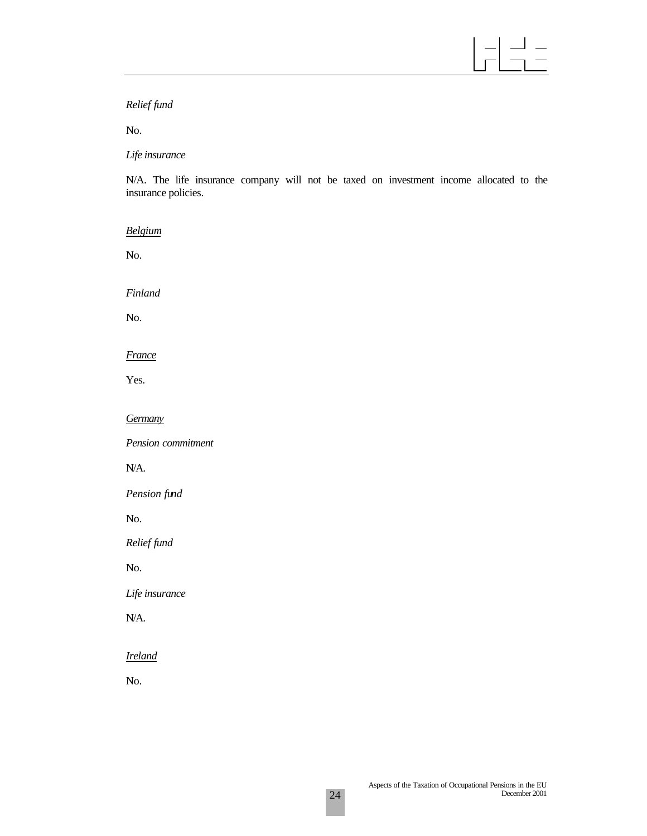$\vert$ 」\_<br>1 -

*Relief fund*

No.

#### *Life insurance*

N/A. The life insurance company will not be taxed on investment income allocated to the insurance policies.

*Belgium*

No.

*Finland*

No.

*France*

Yes.

#### *Germany*

*Pension commitment*

N/A.

*Pension fund*

No.

*Relief fund*

No.

*Life insurance*

N/A.

*Ireland*

No.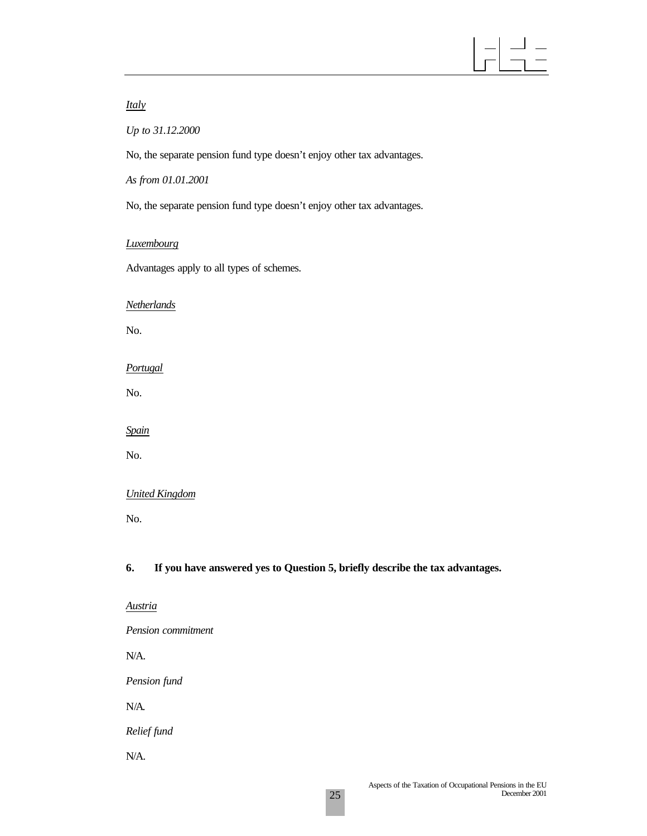# $\equiv$

## *Italy*

*Up to 31.12.2000*

No, the separate pension fund type doesn't enjoy other tax advantages.

*As from 01.01.2001*

No, the separate pension fund type doesn't enjoy other tax advantages.

#### *Luxembourg*

Advantages apply to all types of schemes.

#### *Netherlands*

No.

*Portugal*

No.

*Spain*

No.

### *United Kingdom*

No.

### **6. If you have answered yes to Question 5, briefly describe the tax advantages.**

*Austria*

*Pension commitment*

N/A.

*Pension fund*

N/A.

*Relief fund*

N/A.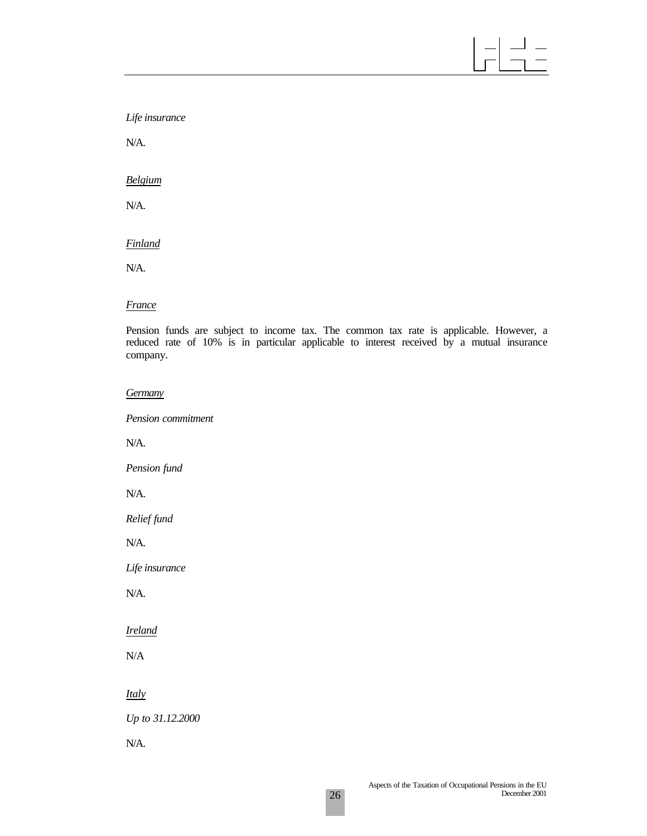*Life insurance*

N/A.

*Belgium*

N/A.

*Finland*

N/A.

#### *France*

Pension funds are subject to income tax. The common tax rate is applicable. However, a reduced rate of 10% is in particular applicable to interest received by a mutual insurance company.

*Germany*

*Pension commitment*

N/A.

*Pension fund*

N/A.

*Relief fund*

N/A.

*Life insurance*

N/A.

*Ireland*

N/A

*Italy*

*Up to 31.12.2000*

N/A.

 $\equiv$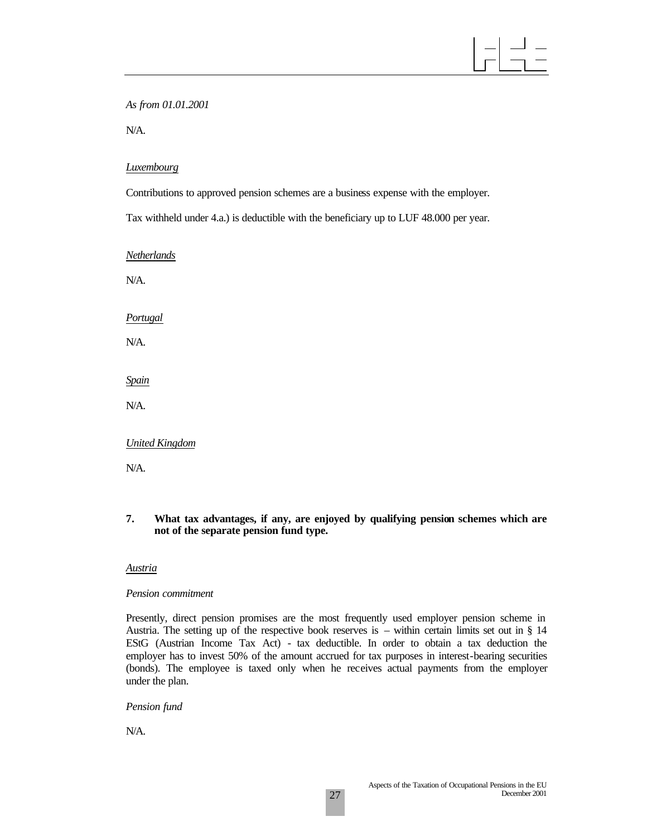*As from 01.01.2001*

N/A.

#### *Luxembourg*

Contributions to approved pension schemes are a business expense with the employer.

Tax withheld under 4.a.) is deductible with the beneficiary up to LUF 48.000 per year.

*Netherlands*

N/A.

*Portugal*

N/A.

*Spain*

N/A.

*United Kingdom*

N/A.

**7. What tax advantages, if any, are enjoyed by qualifying pension schemes which are not of the separate pension fund type.**

#### *Austria*

#### *Pension commitment*

Presently, direct pension promises are the most frequently used employer pension scheme in Austria. The setting up of the respective book reserves is – within certain limits set out in § 14 EStG (Austrian Income Tax Act) - tax deductible. In order to obtain a tax deduction the employer has to invest 50% of the amount accrued for tax purposes in interest-bearing securities (bonds). The employee is taxed only when he receives actual payments from the employer under the plan.

### *Pension fund*

N/A.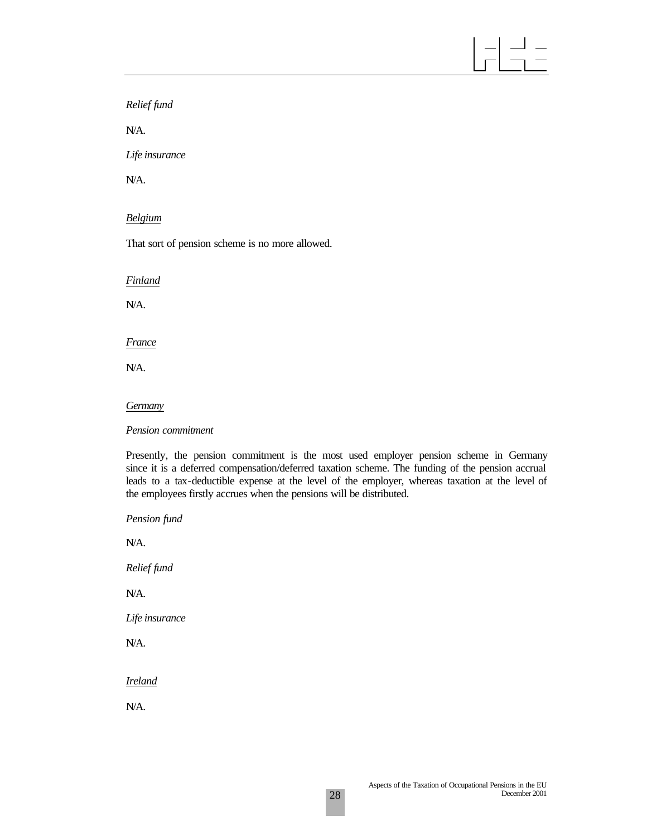# 」\_<br>1 一

*Relief fund*

N/A.

*Life insurance*

N/A.

## *Belgium*

That sort of pension scheme is no more allowed.

*Finland*

N/A.

*France*

N/A.

#### *Germany*

*Pension commitment*

Presently, the pension commitment is the most used employer pension scheme in Germany since it is a deferred compensation/deferred taxation scheme. The funding of the pension accrual leads to a tax-deductible expense at the level of the employer, whereas taxation at the level of the employees firstly accrues when the pensions will be distributed.

*Pension fund* N/A. *Relief fund* N/A. *Life insurance*

N/A.

*Ireland*

N/A.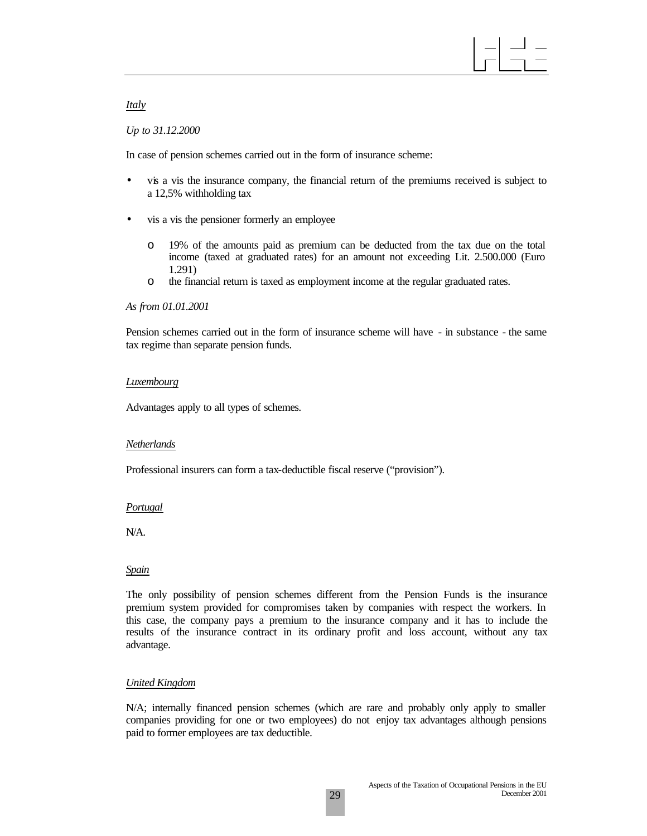#### *Italy*

#### *Up to 31.12.2000*

In case of pension schemes carried out in the form of insurance scheme:

- vis a vis the insurance company, the financial return of the premiums received is subject to a 12,5% withholding tax
- vis a vis the pensioner formerly an employee
	- o 19% of the amounts paid as premium can be deducted from the tax due on the total income (taxed at graduated rates) for an amount not exceeding Lit. 2.500.000 (Euro 1.291)
	- o the financial return is taxed as employment income at the regular graduated rates.

#### *As from 01.01.2001*

Pension schemes carried out in the form of insurance scheme will have - in substance - the same tax regime than separate pension funds.

#### *Luxembourg*

Advantages apply to all types of schemes.

### *Netherlands*

Professional insurers can form a tax-deductible fiscal reserve ("provision").

### *Portugal*

N/A.

#### *Spain*

The only possibility of pension schemes different from the Pension Funds is the insurance premium system provided for compromises taken by companies with respect the workers. In this case, the company pays a premium to the insurance company and it has to include the results of the insurance contract in its ordinary profit and loss account, without any tax advantage.

### *United Kingdom*

N/A; internally financed pension schemes (which are rare and probably only apply to smaller companies providing for one or two employees) do not enjoy tax advantages although pensions paid to former employees are tax deductible.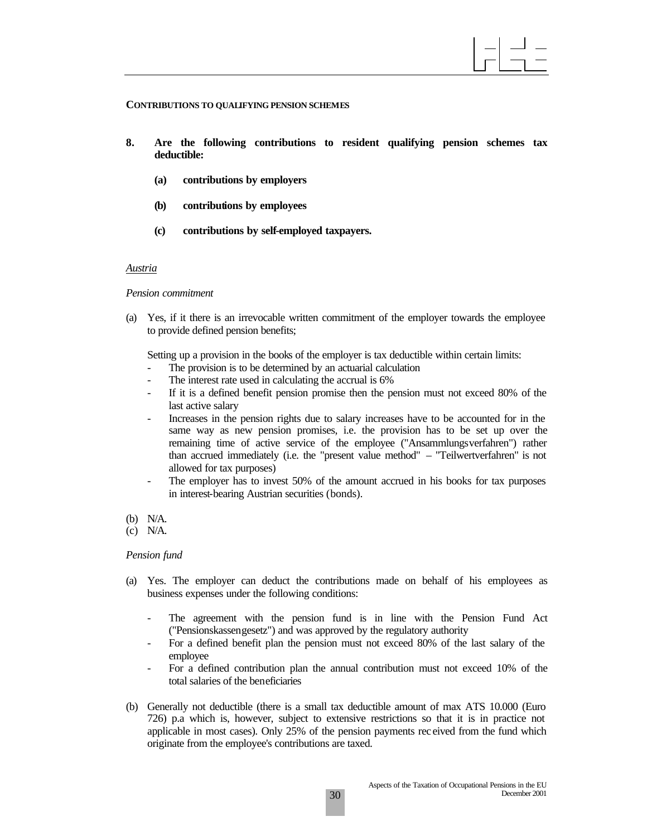#### **CONTRIBUTIONS TO QUALIFYING PENSION SCHEMES**

- **8. Are the following contributions to resident qualifying pension schemes tax deductible:**
	- **(a) contributions by employers**
	- **(b) contributions by employees**
	- **(c) contributions by self-employed taxpayers.**

#### *Austria*

#### *Pension commitment*

(a) Yes, if it there is an irrevocable written commitment of the employer towards the employee to provide defined pension benefits;

Setting up a provision in the books of the employer is tax deductible within certain limits:

- The provision is to be determined by an actuarial calculation
- The interest rate used in calculating the accrual is 6%
- If it is a defined benefit pension promise then the pension must not exceed 80% of the last active salary
- Increases in the pension rights due to salary increases have to be accounted for in the same way as new pension promises, i.e. the provision has to be set up over the remaining time of active service of the employee ("Ansammlungsverfahren") rather than accrued immediately (i.e. the "present value method" – "Teilwertverfahren" is not allowed for tax purposes)
- The employer has to invest 50% of the amount accrued in his books for tax purposes in interest-bearing Austrian securities (bonds).
- (b) N/A.

#### *Pension fund*

- (a) Yes. The employer can deduct the contributions made on behalf of his employees as business expenses under the following conditions:
	- The agreement with the pension fund is in line with the Pension Fund Act ("Pensionskassengesetz") and was approved by the regulatory authority
	- For a defined benefit plan the pension must not exceed 80% of the last salary of the employee
	- For a defined contribution plan the annual contribution must not exceed 10% of the total salaries of the beneficiaries
- (b) Generally not deductible (there is a small tax deductible amount of max ATS 10.000 (Euro 726) p.a which is, however, subject to extensive restrictions so that it is in practice not applicable in most cases). Only 25% of the pension payments rec eived from the fund which originate from the employee's contributions are taxed.

<sup>(</sup>c) N/A.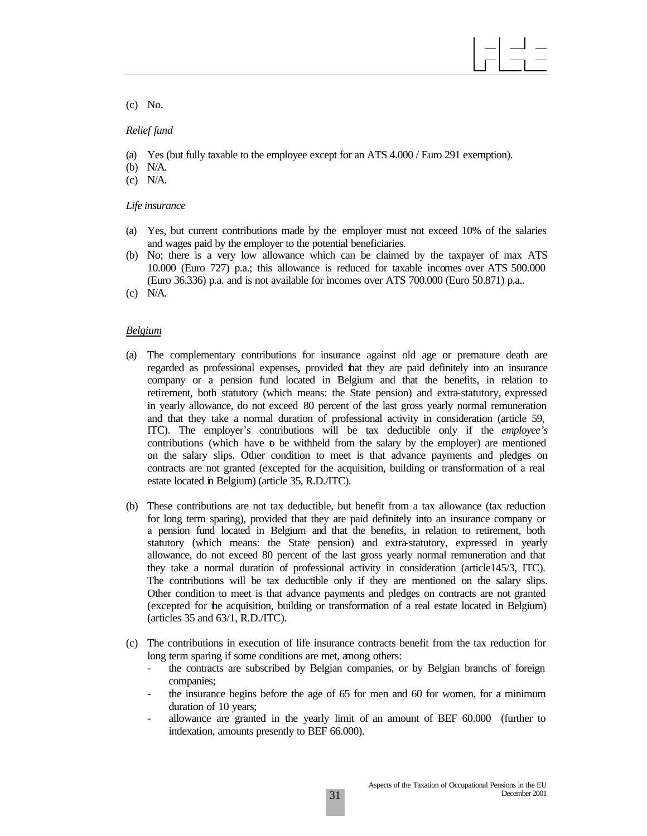(c) No.

#### *Relief fund*

- (a) Yes (but fully taxable to the employee except for an ATS 4.000 / Euro 291 exemption).
- (b) N/A.
- (c) N/A.

#### *Life insurance*

- (a) Yes, but current contributions made by the employer must not exceed 10% of the salaries and wages paid by the employer to the potential beneficiaries.
- (b) No; there is a very low allowance which can be claimed by the taxpayer of max ATS 10.000 (Euro 727) p.a.; this allowance is reduced for taxable incomes over ATS 500.000 (Euro 36.336) p.a. and is not available for incomes over ATS 700.000 (Euro 50.871) p.a..
- (c) N/A.

#### *Belgium*

- (a) The complementary contributions for insurance against old age or premature death are regarded as professional expenses, provided that they are paid definitely into an insurance company or a pension fund located in Belgium and that the benefits, in relation to retirement, both statutory (which means: the State pension) and extra-statutory, expressed in yearly allowance, do not exceed 80 percent of the last gross yearly normal remuneration and that they take a normal duration of professional activity in consideration (article 59, ITC). The employer's contributions will be tax deductible only if the *employee's*  contributions (which have  $\mathbf b$  be withheld from the salary by the employer) are mentioned on the salary slips. Other condition to meet is that advance payments and pledges on contracts are not granted (excepted for the acquisition, building or transformation of a real estate located in Belgium) (article 35, R.D./ITC).
- (b) These contributions are not tax deductible, but benefit from a tax allowance (tax reduction for long term sparing), provided that they are paid definitely into an insurance company or a pension fund located in Belgium and that the benefits, in relation to retirement, both statutory (which means: the State pension) and extra-statutory, expressed in yearly allowance, do not exceed 80 percent of the last gross yearly normal remuneration and that they take a normal duration of professional activity in consideration (article145/3, ITC). The contributions will be tax deductible only if they are mentioned on the salary slips. Other condition to meet is that advance payments and pledges on contracts are not granted (excepted for the acquisition, building or transformation of a real estate located in Belgium) (articles 35 and 63/1, R.D./ITC).
- (c) The contributions in execution of life insurance contracts benefit from the tax reduction for long term sparing if some conditions are met, among others:
	- the contracts are subscribed by Belgian companies, or by Belgian branchs of foreign companies;
	- the insurance begins before the age of 65 for men and 60 for women, for a minimum duration of 10 years;
	- allowance are granted in the yearly limit of an amount of BEF 60.000 (further to indexation, amounts presently to BEF 66.000).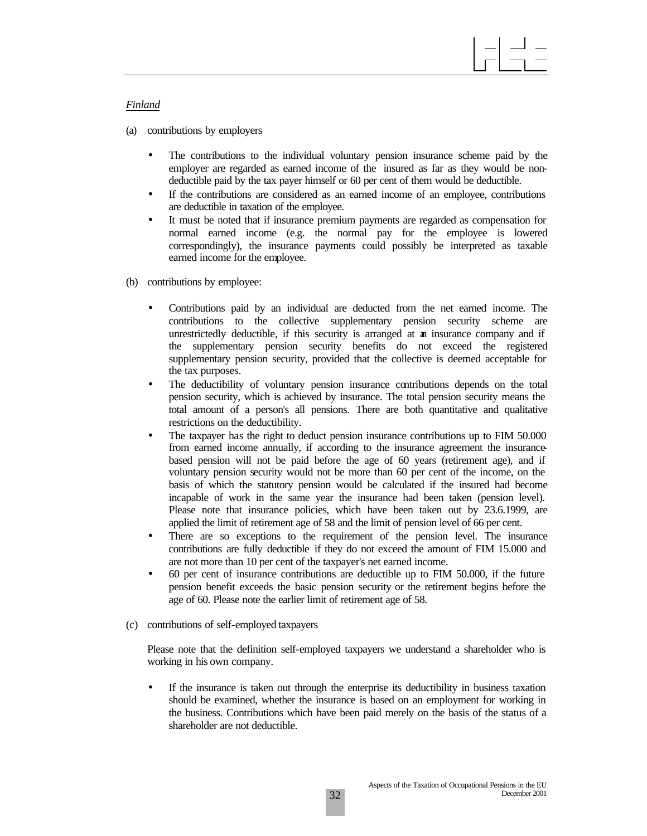#### *Finland*

- (a) contributions by employers
	- The contributions to the individual voluntary pension insurance scheme paid by the employer are regarded as earned income of the insured as far as they would be nondeductible paid by the tax payer himself or 60 per cent of them would be deductible.
	- If the contributions are considered as an earned income of an employee, contributions are deductible in taxation of the employee.
	- It must be noted that if insurance premium payments are regarded as compensation for normal earned income (e.g. the normal pay for the employee is lowered correspondingly), the insurance payments could possibly be interpreted as taxable earned income for the employee.
- (b) contributions by employee:
	- Contributions paid by an individual are deducted from the net earned income. The contributions to the collective supplementary pension security scheme are unrestrictedly deductible, if this security is arranged at an insurance company and if the supplementary pension security benefits do not exceed the registered supplementary pension security, provided that the collective is deemed acceptable for the tax purposes.
	- The deductibility of voluntary pension insurance contributions depends on the total pension security, which is achieved by insurance. The total pension security means the total amount of a person's all pensions. There are both quantitative and qualitative restrictions on the deductibility.
	- The taxpayer has the right to deduct pension insurance contributions up to FIM 50.000 from earned income annually, if according to the insurance agreement the insurancebased pension will not be paid before the age of 60 years (retirement age), and if voluntary pension security would not be more than 60 per cent of the income, on the basis of which the statutory pension would be calculated if the insured had become incapable of work in the same year the insurance had been taken (pension level). Please note that insurance policies, which have been taken out by 23.6.1999, are applied the limit of retirement age of 58 and the limit of pension level of 66 per cent.
	- There are so exceptions to the requirement of the pension level. The insurance contributions are fully deductible if they do not exceed the amount of FIM 15.000 and are not more than 10 per cent of the taxpayer's net earned income.
	- 60 per cent of insurance contributions are deductible up to FIM 50.000, if the future pension benefit exceeds the basic pension security or the retirement begins before the age of 60. Please note the earlier limit of retirement age of 58.
- (c) contributions of self-employed taxpayers

Please note that the definition self-employed taxpayers we understand a shareholder who is working in his own company.

If the insurance is taken out through the enterprise its deductibility in business taxation should be examined, whether the insurance is based on an employment for working in the business. Contributions which have been paid merely on the basis of the status of a shareholder are not deductible.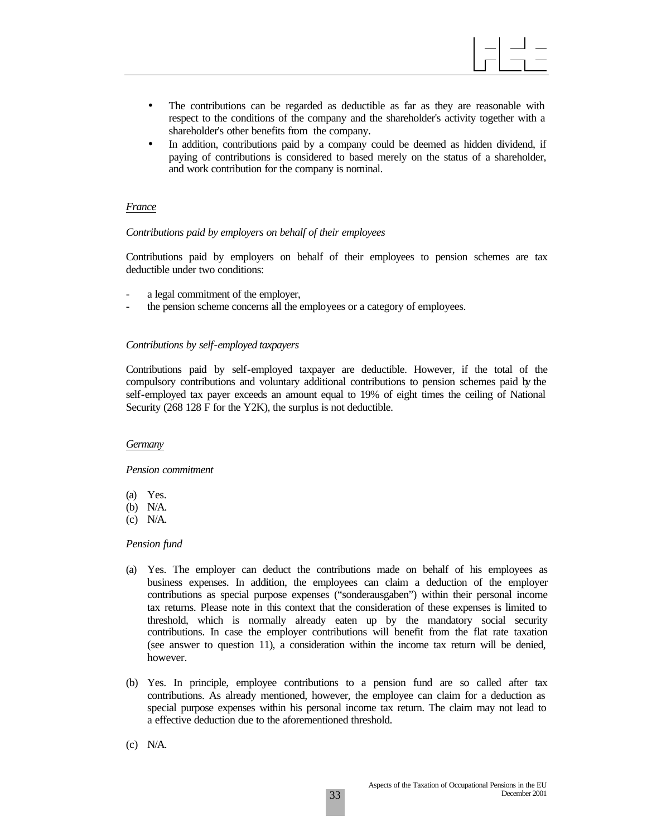

- The contributions can be regarded as deductible as far as they are reasonable with respect to the conditions of the company and the shareholder's activity together with a shareholder's other benefits from the company.
- In addition, contributions paid by a company could be deemed as hidden dividend, if paying of contributions is considered to based merely on the status of a shareholder, and work contribution for the company is nominal.

#### *France*

#### *Contributions paid by employers on behalf of their employees*

Contributions paid by employers on behalf of their employees to pension schemes are tax deductible under two conditions:

- a legal commitment of the employer,
- the pension scheme concerns all the employees or a category of employees.

#### *Contributions by self-employed taxpayers*

Contributions paid by self-employed taxpayer are deductible. However, if the total of the compulsory contributions and voluntary additional contributions to pension schemes paid by the self-employed tax payer exceeds an amount equal to 19% of eight times the ceiling of National Security (268 128 F for the Y2K), the surplus is not deductible.

#### *Germany*

#### *Pension commitment*

- (a) Yes.
- (b) N/A.
- (c) N/A.

#### *Pension fund*

- (a) Yes. The employer can deduct the contributions made on behalf of his employees as business expenses. In addition, the employees can claim a deduction of the employer contributions as special purpose expenses ("sonderausgaben") within their personal income tax returns. Please note in this context that the consideration of these expenses is limited to threshold, which is normally already eaten up by the mandatory social security contributions. In case the employer contributions will benefit from the flat rate taxation (see answer to question 11), a consideration within the income tax return will be denied, however.
- (b) Yes. In principle, employee contributions to a pension fund are so called after tax contributions. As already mentioned, however, the employee can claim for a deduction as special purpose expenses within his personal income tax return. The claim may not lead to a effective deduction due to the aforementioned threshold.
- (c) N/A.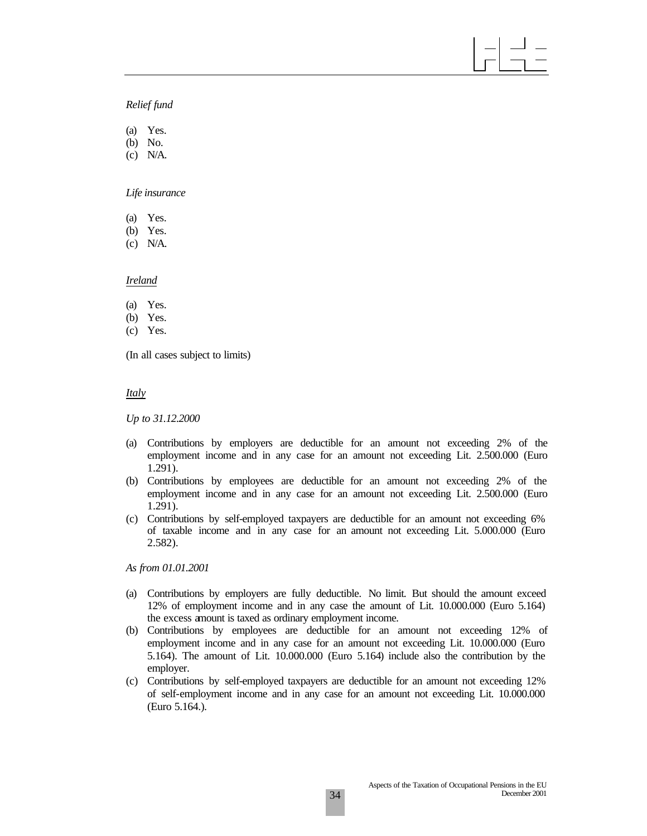## *Relief fund*

(a) Yes. (b) No.

(c) N/A.

*Life insurance*

(a) Yes.

(b) Yes.

(c) N/A.

*Ireland*

- (a) Yes.
- (b) Yes.
- (c) Yes.

(In all cases subject to limits)

*Italy*

*Up to 31.12.2000*

- (a) Contributions by employers are deductible for an amount not exceeding 2% of the employment income and in any case for an amount not exceeding Lit. 2.500.000 (Euro 1.291).
- (b) Contributions by employees are deductible for an amount not exceeding 2% of the employment income and in any case for an amount not exceeding Lit. 2.500.000 (Euro 1.291).
- (c) Contributions by self-employed taxpayers are deductible for an amount not exceeding 6% of taxable income and in any case for an amount not exceeding Lit. 5.000.000 (Euro 2.582).

*As from 01.01.2001*

- (a) Contributions by employers are fully deductible. No limit. But should the amount exceed 12% of employment income and in any case the amount of Lit. 10.000.000 (Euro 5.164) the excess amount is taxed as ordinary employment income.
- (b) Contributions by employees are deductible for an amount not exceeding 12% of employment income and in any case for an amount not exceeding Lit. 10.000.000 (Euro 5.164). The amount of Lit. 10.000.000 (Euro 5.164) include also the contribution by the employer.
- (c) Contributions by self-employed taxpayers are deductible for an amount not exceeding 12% of self-employment income and in any case for an amount not exceeding Lit. 10.000.000 (Euro 5.164.).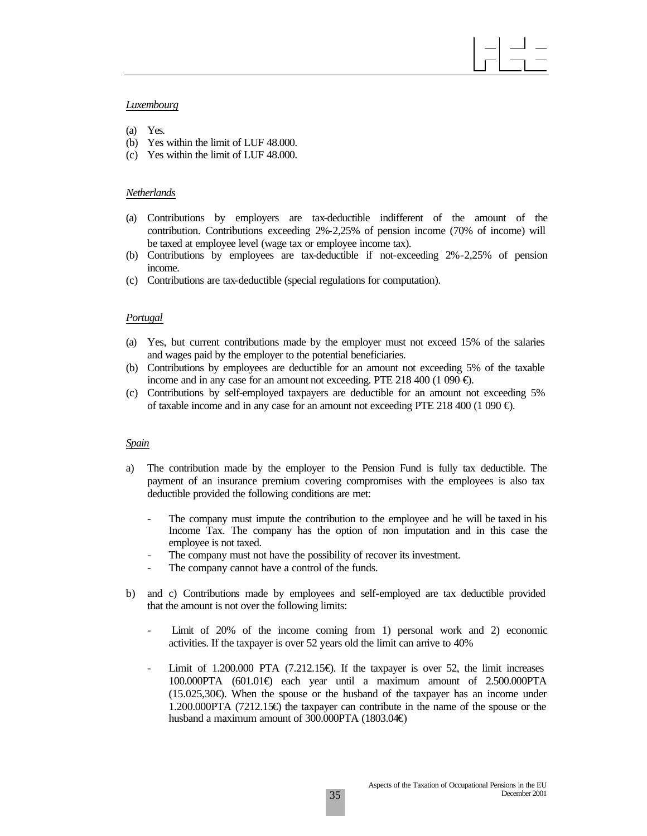#### *Luxembourg*

- (a) Yes.
- (b) Yes within the limit of LUF 48.000.
- (c) Yes within the limit of LUF 48.000.

#### *Netherlands*

- (a) Contributions by employers are tax-deductible indifferent of the amount of the contribution. Contributions exceeding 2%-2,25% of pension income (70% of income) will be taxed at employee level (wage tax or employee income tax).
- (b) Contributions by employees are tax-deductible if not-exceeding 2%-2,25% of pension income.
- (c) Contributions are tax-deductible (special regulations for computation).

#### *Portugal*

- (a) Yes, but current contributions made by the employer must not exceed 15% of the salaries and wages paid by the employer to the potential beneficiaries.
- (b) Contributions by employees are deductible for an amount not exceeding 5% of the taxable income and in any case for an amount not exceeding. PTE 218 400 (1 090 €).
- (c) Contributions by self-employed taxpayers are deductible for an amount not exceeding 5% of taxable income and in any case for an amount not exceeding PTE 218 400 (1 090 €).

#### *Spain*

- a) The contribution made by the employer to the Pension Fund is fully tax deductible. The payment of an insurance premium covering compromises with the employees is also tax deductible provided the following conditions are met:
	- The company must impute the contribution to the employee and he will be taxed in his Income Tax. The company has the option of non imputation and in this case the employee is not taxed.
	- The company must not have the possibility of recover its investment.
	- The company cannot have a control of the funds.
- b) and c) Contributions made by employees and self-employed are tax deductible provided that the amount is not over the following limits:
	- Limit of 20% of the income coming from 1) personal work and 2) economic activities. If the taxpayer is over 52 years old the limit can arrive to 40%
	- Limit of 1.200.000 PTA  $(7.212.15\oplus)$ . If the taxpayer is over 52, the limit increases 100.000PTA (601.01€) each year until a maximum amount of 2.500.000PTA (15.025,30€). When the spouse or the husband of the taxpayer has an income under 1.200.000PTA (7212.15€) the taxpayer can contribute in the name of the spouse or the husband a maximum amount of 300.000PTA (1803.04€)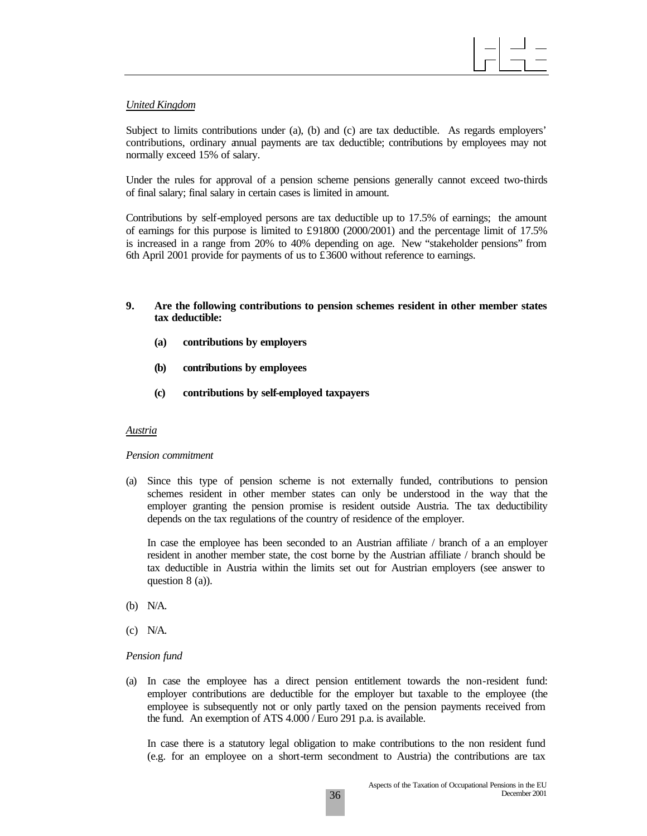

#### *United Kingdom*

Subject to limits contributions under (a), (b) and (c) are tax deductible. As regards employers' contributions, ordinary annual payments are tax deductible; contributions by employees may not normally exceed 15% of salary.

Under the rules for approval of a pension scheme pensions generally cannot exceed two-thirds of final salary; final salary in certain cases is limited in amount.

Contributions by self-employed persons are tax deductible up to 17.5% of earnings; the amount of earnings for this purpose is limited to £91800 (2000/2001) and the percentage limit of 17.5% is increased in a range from 20% to 40% depending on age. New "stakeholder pensions" from 6th April 2001 provide for payments of us to  $\pounds 3600$  without reference to earnings.

#### **9. Are the following contributions to pension schemes resident in other member states tax deductible:**

- **(a) contributions by employers**
- **(b) contributions by employees**
- **(c) contributions by self-employed taxpayers**

#### *Austria*

#### *Pension commitment*

(a) Since this type of pension scheme is not externally funded, contributions to pension schemes resident in other member states can only be understood in the way that the employer granting the pension promise is resident outside Austria. The tax deductibility depends on the tax regulations of the country of residence of the employer.

In case the employee has been seconded to an Austrian affiliate / branch of a an employer resident in another member state, the cost borne by the Austrian affiliate / branch should be tax deductible in Austria within the limits set out for Austrian employers (see answer to question 8 (a)).

- (b) N/A.
- (c) N/A.

#### *Pension fund*

(a) In case the employee has a direct pension entitlement towards the non-resident fund: employer contributions are deductible for the employer but taxable to the employee (the employee is subsequently not or only partly taxed on the pension payments received from the fund. An exemption of ATS 4.000 / Euro 291 p.a. is available.

In case there is a statutory legal obligation to make contributions to the non resident fund (e.g. for an employee on a short-term secondment to Austria) the contributions are tax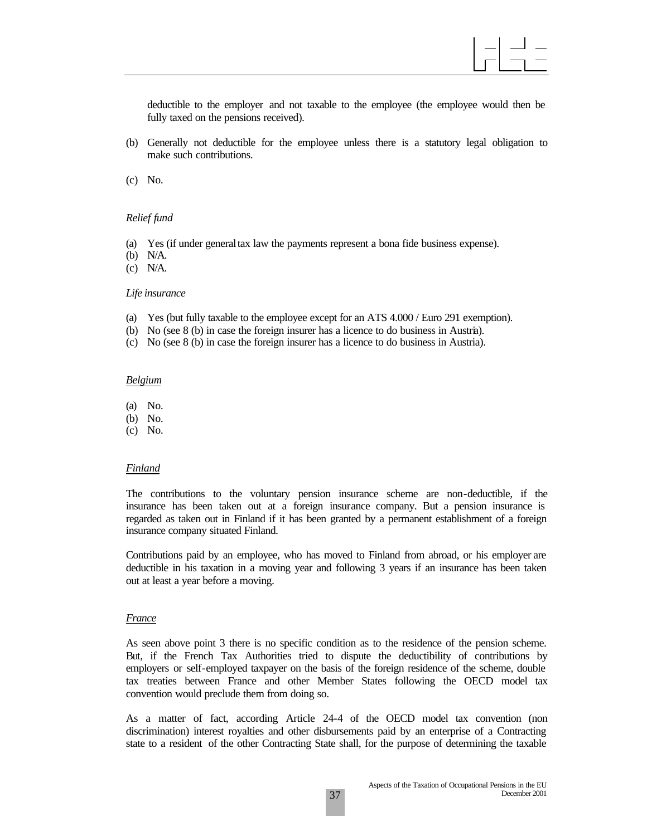deductible to the employer and not taxable to the employee (the employee would then be fully taxed on the pensions received).

(b) Generally not deductible for the employee unless there is a statutory legal obligation to make such contributions.

(c) No.

#### *Relief fund*

- (a) Yes (if under general tax law the payments represent a bona fide business expense).
- (b) N/A.
- (c) N/A.

#### *Life insurance*

- (a) Yes (but fully taxable to the employee except for an ATS 4.000 / Euro 291 exemption).
- (b) No (see 8 (b) in case the foreign insurer has a licence to do business in Austria).
- (c) No (see 8 (b) in case the foreign insurer has a licence to do business in Austria).

#### *Belgium*

- (a) No.
- (b) No.
- (c) No.

#### *Finland*

The contributions to the voluntary pension insurance scheme are non-deductible, if the insurance has been taken out at a foreign insurance company. But a pension insurance is regarded as taken out in Finland if it has been granted by a permanent establishment of a foreign insurance company situated Finland.

Contributions paid by an employee, who has moved to Finland from abroad, or his employer are deductible in his taxation in a moving year and following 3 years if an insurance has been taken out at least a year before a moving.

#### *France*

As seen above point 3 there is no specific condition as to the residence of the pension scheme. But, if the French Tax Authorities tried to dispute the deductibility of contributions by employers or self-employed taxpayer on the basis of the foreign residence of the scheme, double tax treaties between France and other Member States following the OECD model tax convention would preclude them from doing so.

As a matter of fact, according Article 24-4 of the OECD model tax convention (non discrimination) interest royalties and other disbursements paid by an enterprise of a Contracting state to a resident of the other Contracting State shall, for the purpose of determining the taxable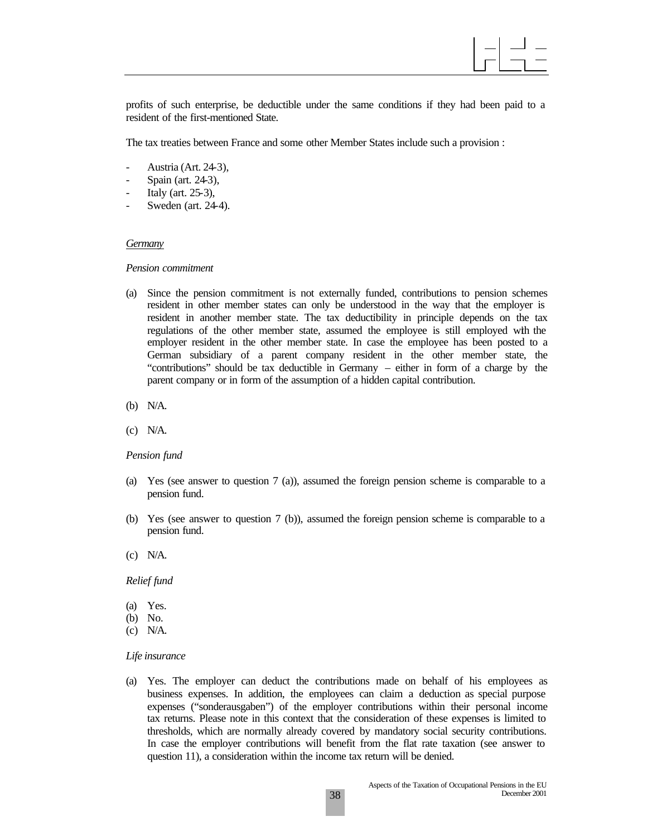profits of such enterprise, be deductible under the same conditions if they had been paid to a resident of the first-mentioned State.

The tax treaties between France and some other Member States include such a provision :

- Austria (Art. 24-3),
- Spain (art. 24-3),
- Italy (art.  $25-3$ ),
- Sweden (art. 24-4).

#### *Germany*

#### *Pension commitment*

- (a) Since the pension commitment is not externally funded, contributions to pension schemes resident in other member states can only be understood in the way that the employer is resident in another member state. The tax deductibility in principle depends on the tax regulations of the other member state, assumed the employee is still employed with the employer resident in the other member state. In case the employee has been posted to a German subsidiary of a parent company resident in the other member state, the "contributions" should be tax deductible in Germany – either in form of a charge by the parent company or in form of the assumption of a hidden capital contribution.
- (b) N/A.
- (c) N/A.

#### *Pension fund*

- (a) Yes (see answer to question 7 (a)), assumed the foreign pension scheme is comparable to a pension fund.
- (b) Yes (see answer to question 7 (b)), assumed the foreign pension scheme is comparable to a pension fund.
- (c) N/A.

#### *Relief fund*

- (a) Yes.
- (b) No.
- (c) N/A.

#### *Life insurance*

(a) Yes. The employer can deduct the contributions made on behalf of his employees as business expenses. In addition, the employees can claim a deduction as special purpose expenses ("sonderausgaben") of the employer contributions within their personal income tax returns. Please note in this context that the consideration of these expenses is limited to thresholds, which are normally already covered by mandatory social security contributions. In case the employer contributions will benefit from the flat rate taxation (see answer to question 11), a consideration within the income tax return will be denied.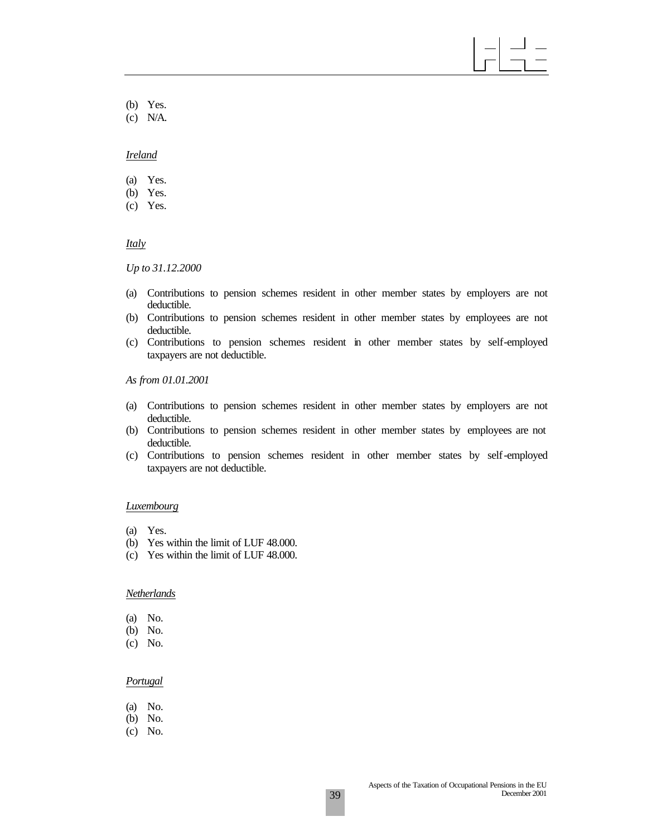- (b) Yes.
- (c) N/A.

#### *Ireland*

- (a) Yes.
- (b) Yes.
- (c) Yes.

#### *Italy*

*Up to 31.12.2000*

- (a) Contributions to pension schemes resident in other member states by employers are not deductible.
- (b) Contributions to pension schemes resident in other member states by employees are not deductible.
- (c) Contributions to pension schemes resident in other member states by self-employed taxpayers are not deductible.

*As from 01.01.2001*

- (a) Contributions to pension schemes resident in other member states by employers are not deductible.
- (b) Contributions to pension schemes resident in other member states by employees are not deductible.
- (c) Contributions to pension schemes resident in other member states by self-employed taxpayers are not deductible.

#### *Luxembourg*

- (a) Yes.
- (b) Yes within the limit of LUF 48.000.
- (c) Yes within the limit of LUF 48.000.

#### *Netherlands*

- (a) No.
- (b) No.
- (c) No.

#### *Portugal*

- (a) No.
- (b) No.
- (c) No.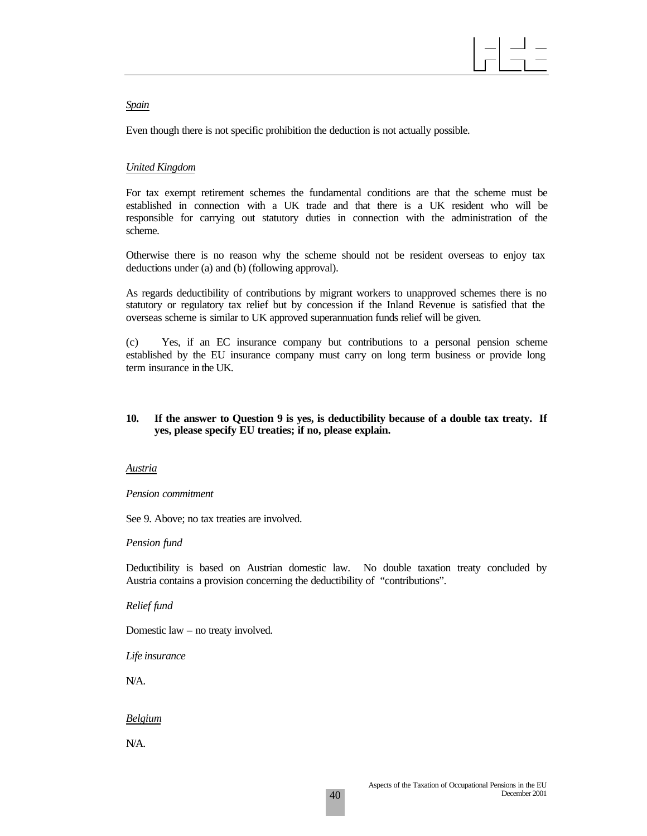#### *Spain*

Even though there is not specific prohibition the deduction is not actually possible.

#### *United Kingdom*

For tax exempt retirement schemes the fundamental conditions are that the scheme must be established in connection with a UK trade and that there is a UK resident who will be responsible for carrying out statutory duties in connection with the administration of the scheme.

Otherwise there is no reason why the scheme should not be resident overseas to enjoy tax deductions under (a) and (b) (following approval).

As regards deductibility of contributions by migrant workers to unapproved schemes there is no statutory or regulatory tax relief but by concession if the Inland Revenue is satisfied that the overseas scheme is similar to UK approved superannuation funds relief will be given.

(c) Yes, if an EC insurance company but contributions to a personal pension scheme established by the EU insurance company must carry on long term business or provide long term insurance in the UK.

#### **10. If the answer to Question 9 is yes, is deductibility because of a double tax treaty. If yes, please specify EU treaties; if no, please explain.**

#### *Austria*

#### *Pension commitment*

See 9. Above; no tax treaties are involved.

#### *Pension fund*

Deductibility is based on Austrian domestic law. No double taxation treaty concluded by Austria contains a provision concerning the deductibility of "contributions".

#### *Relief fund*

Domestic law – no treaty involved.

*Life insurance*

N/A.

### *Belgium*

N/A.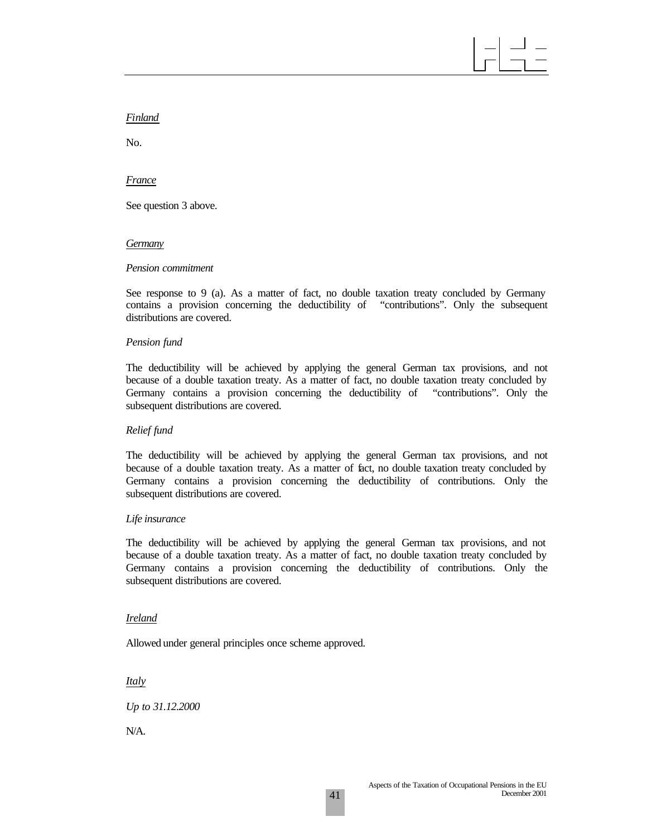#### *Finland*

No.

#### *France*

See question 3 above.

#### *Germany*

#### *Pension commitment*

See response to 9 (a). As a matter of fact, no double taxation treaty concluded by Germany contains a provision concerning the deductibility of "contributions". Only the subsequent distributions are covered.

#### *Pension fund*

The deductibility will be achieved by applying the general German tax provisions, and not because of a double taxation treaty. As a matter of fact, no double taxation treaty concluded by Germany contains a provision concerning the deductibility of "contributions". Only the subsequent distributions are covered.

#### *Relief fund*

The deductibility will be achieved by applying the general German tax provisions, and not because of a double taxation treaty. As a matter of fact, no double taxation treaty concluded by Germany contains a provision concerning the deductibility of contributions. Only the subsequent distributions are covered.

#### *Life insurance*

The deductibility will be achieved by applying the general German tax provisions, and not because of a double taxation treaty. As a matter of fact, no double taxation treaty concluded by Germany contains a provision concerning the deductibility of contributions. Only the subsequent distributions are covered.

#### *Ireland*

Allowed under general principles once scheme approved.

*Italy*

*Up to 31.12.2000*

N/A.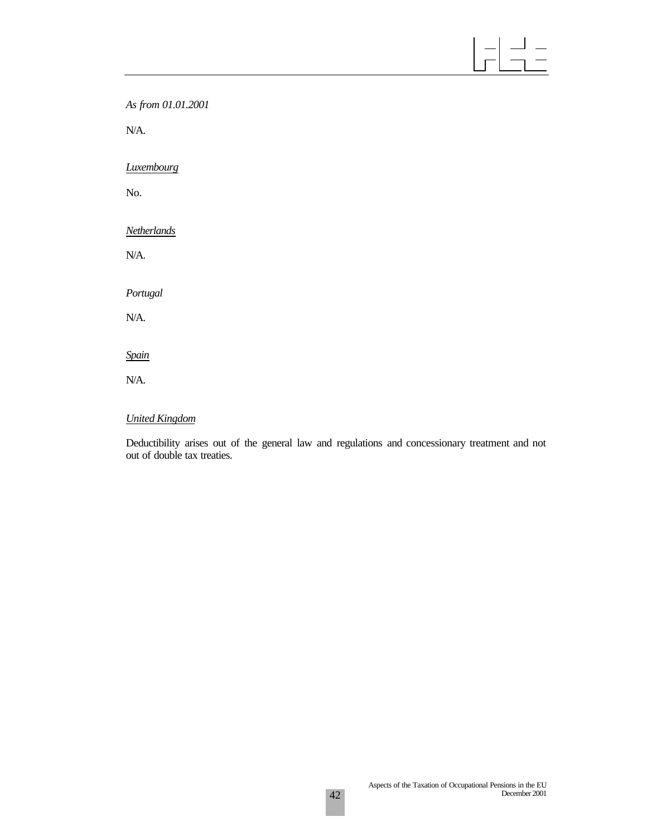# $\begin{array}{|c|c|c|c|c|}\hline -&-&-\\ \hline -&-&-\\ \hline -&-&-\\ \hline \end{array}$

*As from 01.01.2001*

N/A.

*Luxembourg*

No.

*Netherlands*

N/A.

*Portugal*

N/A.

*Spain*

N/A.

## *United Kingdom*

Deductibility arises out of the general law and regulations and concessionary treatment and not out of double tax treaties.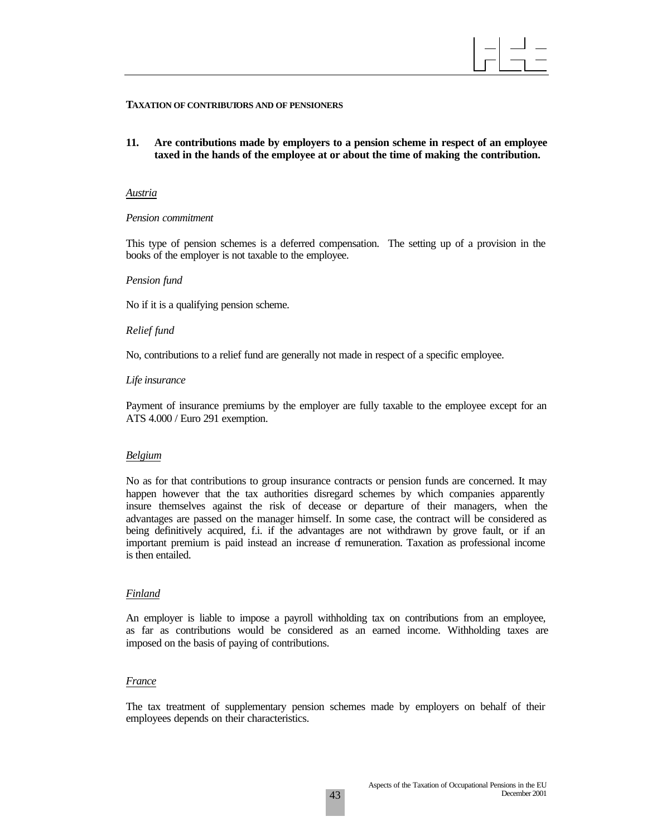

#### **TAXATION OF CONTRIBUTORS AND OF PENSIONERS**

**11. Are contributions made by employers to a pension scheme in respect of an employee taxed in the hands of the employee at or about the time of making the contribution.**

#### *Austria*

#### *Pension commitment*

This type of pension schemes is a deferred compensation. The setting up of a provision in the books of the employer is not taxable to the employee.

#### *Pension fund*

No if it is a qualifying pension scheme.

#### *Relief fund*

No, contributions to a relief fund are generally not made in respect of a specific employee.

#### *Life insurance*

Payment of insurance premiums by the employer are fully taxable to the employee except for an ATS 4.000 / Euro 291 exemption.

#### *Belgium*

No as for that contributions to group insurance contracts or pension funds are concerned. It may happen however that the tax authorities disregard schemes by which companies apparently insure themselves against the risk of decease or departure of their managers, when the advantages are passed on the manager himself. In some case, the contract will be considered as being definitively acquired, f.i. if the advantages are not withdrawn by grove fault, or if an important premium is paid instead an increase of remuneration. Taxation as professional income is then entailed.

#### *Finland*

An employer is liable to impose a payroll withholding tax on contributions from an employee, as far as contributions would be considered as an earned income. Withholding taxes are imposed on the basis of paying of contributions.

#### *France*

The tax treatment of supplementary pension schemes made by employers on behalf of their employees depends on their characteristics.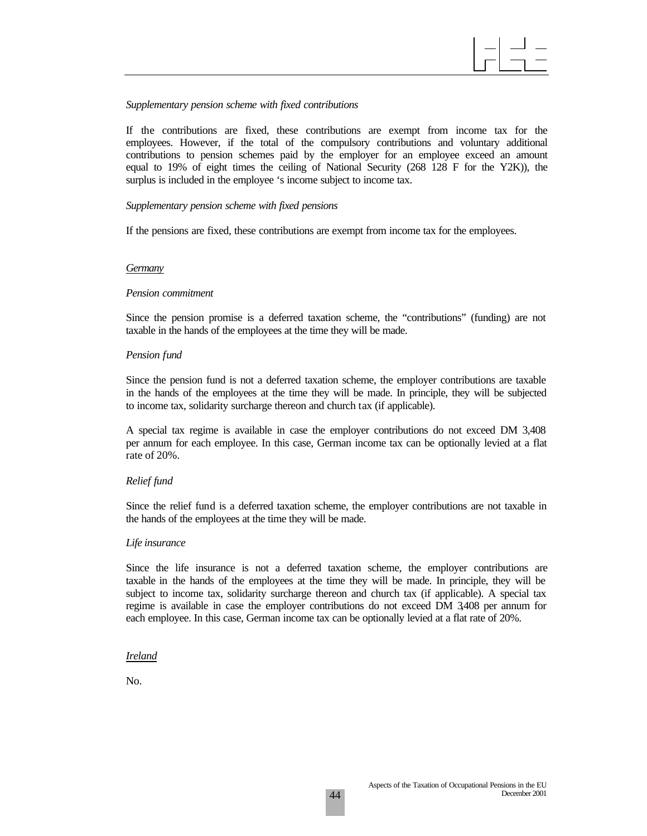#### *Supplementary pension scheme with fixed contributions*

If the contributions are fixed, these contributions are exempt from income tax for the employees. However, if the total of the compulsory contributions and voluntary additional contributions to pension schemes paid by the employer for an employee exceed an amount equal to 19% of eight times the ceiling of National Security (268 128 F for the Y2K)), the surplus is included in the employee 's income subject to income tax.

#### *Supplementary pension scheme with fixed pensions*

If the pensions are fixed, these contributions are exempt from income tax for the employees.

#### *Germany*

#### *Pension commitment*

Since the pension promise is a deferred taxation scheme, the "contributions" (funding) are not taxable in the hands of the employees at the time they will be made.

#### *Pension fund*

Since the pension fund is not a deferred taxation scheme, the employer contributions are taxable in the hands of the employees at the time they will be made. In principle, they will be subjected to income tax, solidarity surcharge thereon and church tax (if applicable).

A special tax regime is available in case the employer contributions do not exceed DM 3,408 per annum for each employee. In this case, German income tax can be optionally levied at a flat rate of 20%.

#### *Relief fund*

Since the relief fund is a deferred taxation scheme, the employer contributions are not taxable in the hands of the employees at the time they will be made.

#### *Life insurance*

Since the life insurance is not a deferred taxation scheme, the employer contributions are taxable in the hands of the employees at the time they will be made. In principle, they will be subject to income tax, solidarity surcharge thereon and church tax (if applicable). A special tax regime is available in case the employer contributions do not exceed DM 3,408 per annum for each employee. In this case, German income tax can be optionally levied at a flat rate of 20%.

#### *Ireland*

No.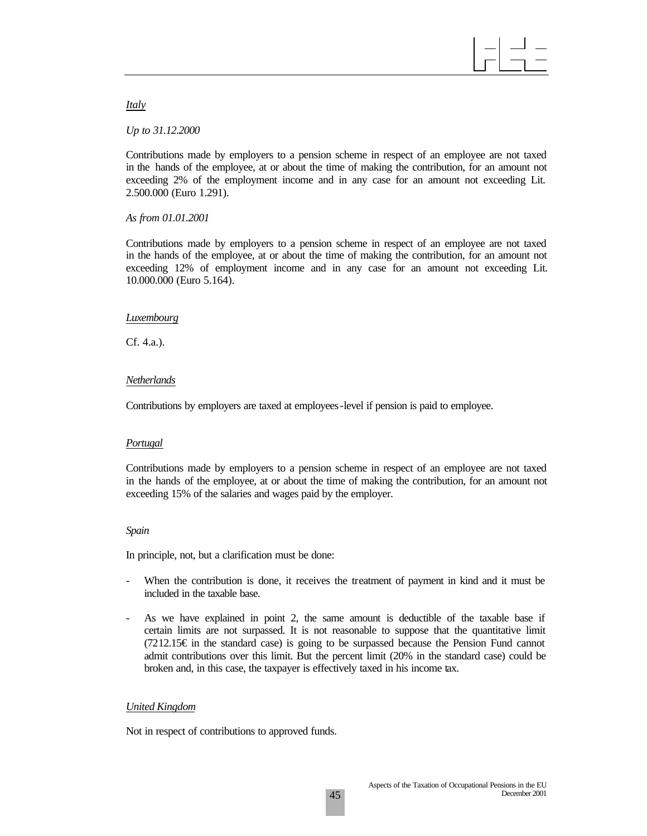*Italy*

*Up to 31.12.2000*

Contributions made by employers to a pension scheme in respect of an employee are not taxed in the hands of the employee, at or about the time of making the contribution, for an amount not exceeding 2% of the employment income and in any case for an amount not exceeding Lit. 2.500.000 (Euro 1.291).

*As from 01.01.2001*

Contributions made by employers to a pension scheme in respect of an employee are not taxed in the hands of the employee, at or about the time of making the contribution, for an amount not exceeding 12% of employment income and in any case for an amount not exceeding Lit. 10.000.000 (Euro 5.164).

#### *Luxembourg*

Cf. 4.a.).

#### *Netherlands*

Contributions by employers are taxed at employees-level if pension is paid to employee.

#### *Portugal*

Contributions made by employers to a pension scheme in respect of an employee are not taxed in the hands of the employee, at or about the time of making the contribution, for an amount not exceeding 15% of the salaries and wages paid by the employer.

#### *Spain*

In principle, not, but a clarification must be done:

- When the contribution is done, it receives the treatment of payment in kind and it must be included in the taxable base.
- As we have explained in point 2, the same amount is deductible of the taxable base if certain limits are not surpassed. It is not reasonable to suppose that the quantitative limit (7212.15€ in the standard case) is going to be surpassed because the Pension Fund cannot admit contributions over this limit. But the percent limit (20% in the standard case) could be broken and, in this case, the taxpayer is effectively taxed in his income tax.

### *United Kingdom*

Not in respect of contributions to approved funds.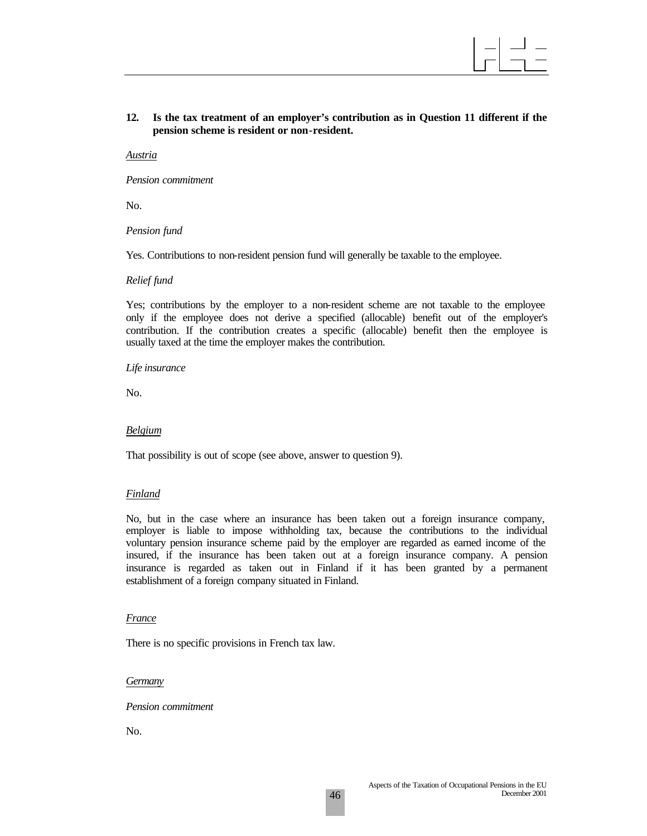

#### **12. Is the tax treatment of an employer's contribution as in Question 11 different if the pension scheme is resident or non-resident.**

*Austria*

*Pension commitment*

No.

*Pension fund*

Yes. Contributions to non-resident pension fund will generally be taxable to the employee.

#### *Relief fund*

Yes; contributions by the employer to a non-resident scheme are not taxable to the employee only if the employee does not derive a specified (allocable) benefit out of the employer's contribution. If the contribution creates a specific (allocable) benefit then the employee is usually taxed at the time the employer makes the contribution.

#### *Life insurance*

No.

#### *Belgium*

That possibility is out of scope (see above, answer to question 9).

#### *Finland*

No, but in the case where an insurance has been taken out a foreign insurance company, employer is liable to impose withholding tax, because the contributions to the individual voluntary pension insurance scheme paid by the employer are regarded as earned income of the insured, if the insurance has been taken out at a foreign insurance company. A pension insurance is regarded as taken out in Finland if it has been granted by a permanent establishment of a foreign company situated in Finland.

#### *France*

There is no specific provisions in French tax law.

#### *Germany*

*Pension commitment*

No.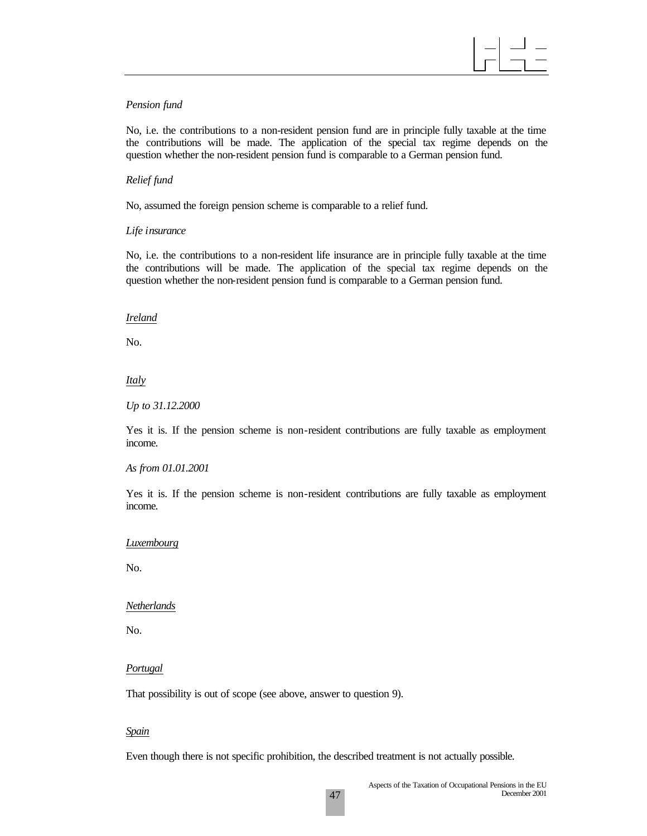#### *Pension fund*

No, i.e. the contributions to a non-resident pension fund are in principle fully taxable at the time the contributions will be made. The application of the special tax regime depends on the question whether the non-resident pension fund is comparable to a German pension fund.

#### *Relief fund*

No, assumed the foreign pension scheme is comparable to a relief fund.

#### *Life insurance*

No, i.e. the contributions to a non-resident life insurance are in principle fully taxable at the time the contributions will be made. The application of the special tax regime depends on the question whether the non-resident pension fund is comparable to a German pension fund.

#### *Ireland*

No.

#### *Italy*

*Up to 31.12.2000*

Yes it is. If the pension scheme is non-resident contributions are fully taxable as employment income.

#### *As from 01.01.2001*

Yes it is. If the pension scheme is non-resident contributions are fully taxable as employment income.

#### *Luxembourg*

No.

#### *Netherlands*

No.

#### *Portugal*

That possibility is out of scope (see above, answer to question 9).

#### *Spain*

Even though there is not specific prohibition, the described treatment is not actually possible.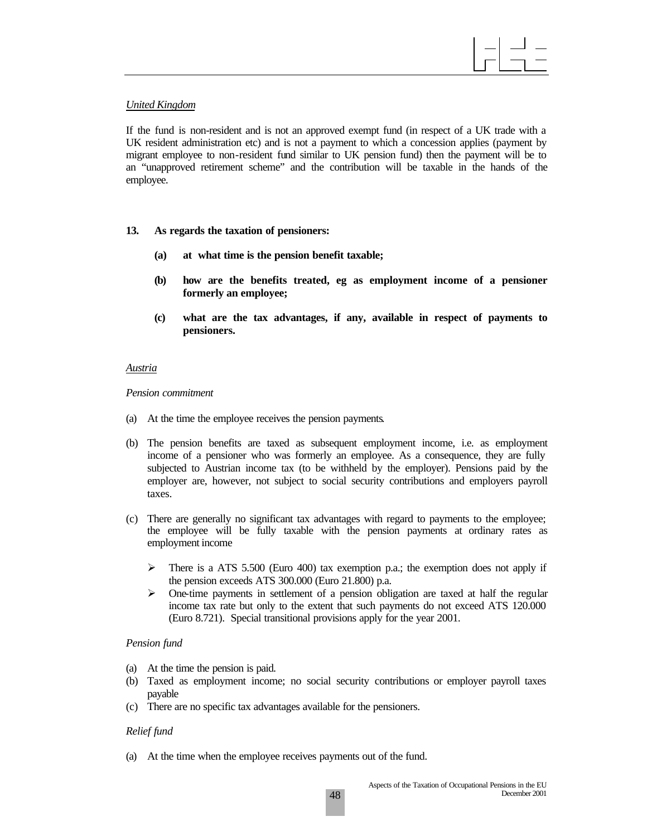#### *United Kingdom*

If the fund is non-resident and is not an approved exempt fund (in respect of a UK trade with a UK resident administration etc) and is not a payment to which a concession applies (payment by migrant employee to non-resident fund similar to UK pension fund) then the payment will be to an "unapproved retirement scheme" and the contribution will be taxable in the hands of the employee.

- **13. As regards the taxation of pensioners:**
	- **(a) at what time is the pension benefit taxable;**
	- **(b) how are the benefits treated, eg as employment income of a pensioner formerly an employee;**
	- **(c) what are the tax advantages, if any, available in respect of payments to pensioners.**

#### *Austria*

*Pension commitment*

- (a) At the time the employee receives the pension payments.
- (b) The pension benefits are taxed as subsequent employment income, i.e. as employment income of a pensioner who was formerly an employee. As a consequence, they are fully subjected to Austrian income tax (to be withheld by the employer). Pensions paid by the employer are, however, not subject to social security contributions and employers payroll taxes.
- (c) There are generally no significant tax advantages with regard to payments to the employee; the employee will be fully taxable with the pension payments at ordinary rates as employment income
	- $\triangleright$  There is a ATS 5.500 (Euro 400) tax exemption p.a.; the exemption does not apply if the pension exceeds ATS 300.000 (Euro 21.800) p.a.
	- $\triangleright$  One-time payments in settlement of a pension obligation are taxed at half the regular income tax rate but only to the extent that such payments do not exceed ATS 120.000 (Euro 8.721). Special transitional provisions apply for the year 2001.

#### *Pension fund*

- (a) At the time the pension is paid.
- (b) Taxed as employment income; no social security contributions or employer payroll taxes payable
- (c) There are no specific tax advantages available for the pensioners.

#### *Relief fund*

(a) At the time when the employee receives payments out of the fund.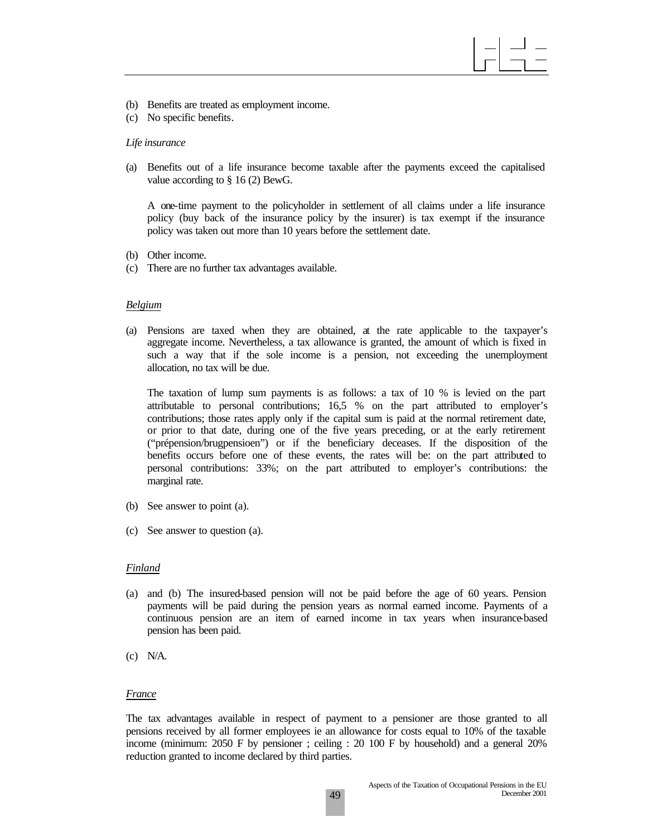- (b) Benefits are treated as employment income.
- (c) No specific benefits.

#### *Life insurance*

(a) Benefits out of a life insurance become taxable after the payments exceed the capitalised value according to § 16 (2) BewG.

A one-time payment to the policyholder in settlement of all claims under a life insurance policy (buy back of the insurance policy by the insurer) is tax exempt if the insurance policy was taken out more than 10 years before the settlement date.

- (b) Other income.
- (c) There are no further tax advantages available.

#### *Belgium*

(a) Pensions are taxed when they are obtained, at the rate applicable to the taxpayer's aggregate income. Nevertheless, a tax allowance is granted, the amount of which is fixed in such a way that if the sole income is a pension, not exceeding the unemployment allocation, no tax will be due.

The taxation of lump sum payments is as follows: a tax of 10 % is levied on the part attributable to personal contributions; 16,5 % on the part attributed to employer's contributions; those rates apply only if the capital sum is paid at the normal retirement date, or prior to that date, during one of the five years preceding, or at the early retirement ("prépension/brugpensioen") or if the beneficiary deceases. If the disposition of the benefits occurs before one of these events, the rates will be: on the part attributed to personal contributions: 33%; on the part attributed to employer's contributions: the marginal rate.

- (b) See answer to point (a).
- (c) See answer to question (a).

#### *Finland*

- (a) and (b) The insured-based pension will not be paid before the age of 60 years. Pension payments will be paid during the pension years as normal earned income. Payments of a continuous pension are an item of earned income in tax years when insurance-based pension has been paid.
- (c) N/A.

#### *France*

The tax advantages available in respect of payment to a pensioner are those granted to all pensions received by all former employees ie an allowance for costs equal to 10% of the taxable income (minimum: 2050 F by pensioner ; ceiling : 20 100 F by household) and a general 20% reduction granted to income declared by third parties.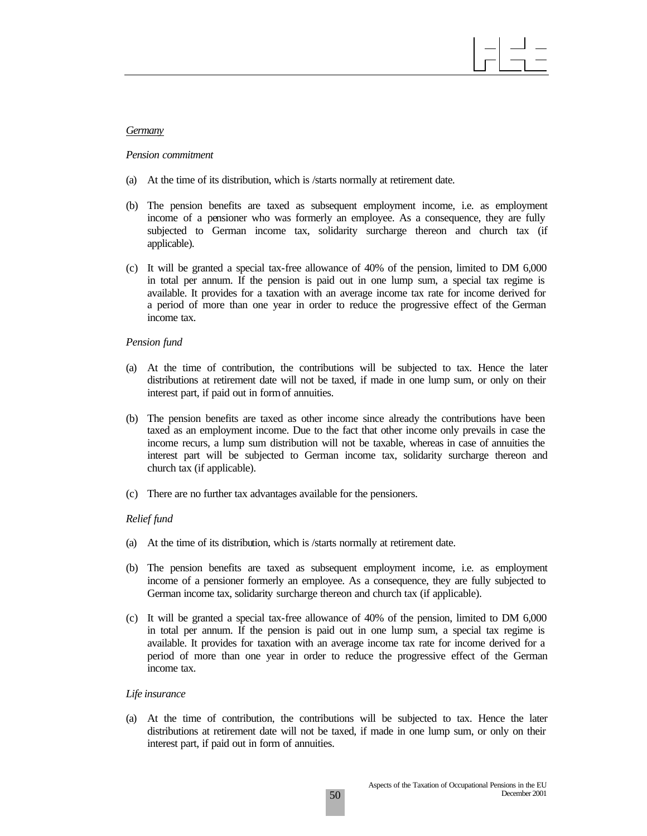#### *Germany*

#### *Pension commitment*

- (a) At the time of its distribution, which is /starts normally at retirement date.
- (b) The pension benefits are taxed as subsequent employment income, i.e. as employment income of a pensioner who was formerly an employee. As a consequence, they are fully subjected to German income tax, solidarity surcharge thereon and church tax (if applicable).
- (c) It will be granted a special tax-free allowance of 40% of the pension, limited to DM 6,000 in total per annum. If the pension is paid out in one lump sum, a special tax regime is available. It provides for a taxation with an average income tax rate for income derived for a period of more than one year in order to reduce the progressive effect of the German income tax.

#### *Pension fund*

- (a) At the time of contribution, the contributions will be subjected to tax. Hence the later distributions at retirement date will not be taxed, if made in one lump sum, or only on their interest part, if paid out in form of annuities.
- (b) The pension benefits are taxed as other income since already the contributions have been taxed as an employment income. Due to the fact that other income only prevails in case the income recurs, a lump sum distribution will not be taxable, whereas in case of annuities the interest part will be subjected to German income tax, solidarity surcharge thereon and church tax (if applicable).
- (c) There are no further tax advantages available for the pensioners.

#### *Relief fund*

- (a) At the time of its distribution, which is /starts normally at retirement date.
- (b) The pension benefits are taxed as subsequent employment income, i.e. as employment income of a pensioner formerly an employee. As a consequence, they are fully subjected to German income tax, solidarity surcharge thereon and church tax (if applicable).
- (c) It will be granted a special tax-free allowance of 40% of the pension, limited to DM 6,000 in total per annum. If the pension is paid out in one lump sum, a special tax regime is available. It provides for taxation with an average income tax rate for income derived for a period of more than one year in order to reduce the progressive effect of the German income tax.

#### *Life insurance*

(a) At the time of contribution, the contributions will be subjected to tax. Hence the later distributions at retirement date will not be taxed, if made in one lump sum, or only on their interest part, if paid out in form of annuities.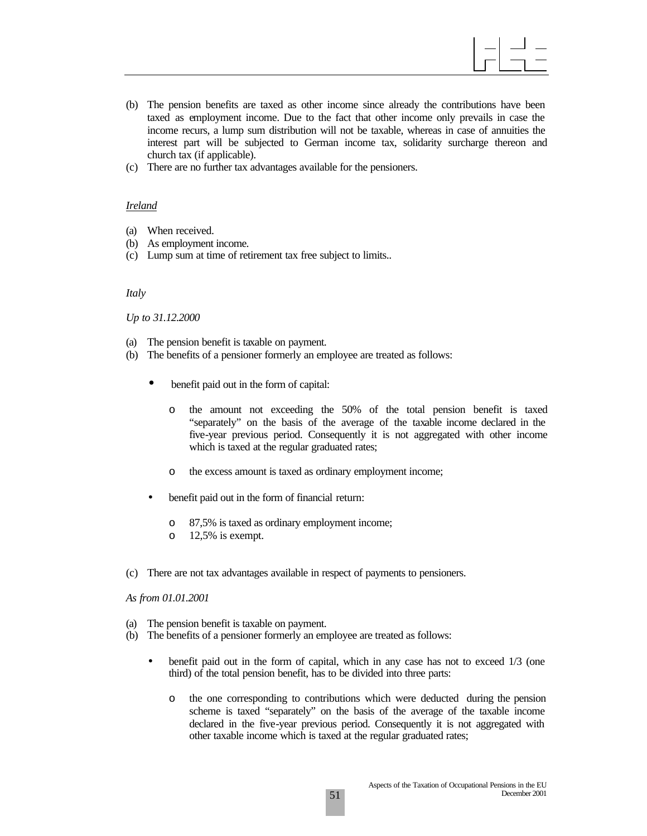- (b) The pension benefits are taxed as other income since already the contributions have been taxed as employment income. Due to the fact that other income only prevails in case the income recurs, a lump sum distribution will not be taxable, whereas in case of annuities the interest part will be subjected to German income tax, solidarity surcharge thereon and church tax (if applicable).
- (c) There are no further tax advantages available for the pensioners.

#### *Ireland*

- (a) When received.
- (b) As employment income.
- (c) Lump sum at time of retirement tax free subject to limits..

#### *Italy*

*Up to 31.12.2000*

- (a) The pension benefit is taxable on payment.
- (b) The benefits of a pensioner formerly an employee are treated as follows:
	- benefit paid out in the form of capital:
		- o the amount not exceeding the 50% of the total pension benefit is taxed "separately" on the basis of the average of the taxable income declared in the five-year previous period. Consequently it is not aggregated with other income which is taxed at the regular graduated rates;
		- o the excess amount is taxed as ordinary employment income;
	- benefit paid out in the form of financial return:
		- o 87,5% is taxed as ordinary employment income;
		- o 12,5% is exempt.
- (c) There are not tax advantages available in respect of payments to pensioners.

*As from 01.01.2001*

- (a) The pension benefit is taxable on payment.
- (b) The benefits of a pensioner formerly an employee are treated as follows:
	- benefit paid out in the form of capital, which in any case has not to exceed 1/3 (one third) of the total pension benefit, has to be divided into three parts:
		- o the one corresponding to contributions which were deducted during the pension scheme is taxed "separately" on the basis of the average of the taxable income declared in the five-year previous period. Consequently it is not aggregated with other taxable income which is taxed at the regular graduated rates;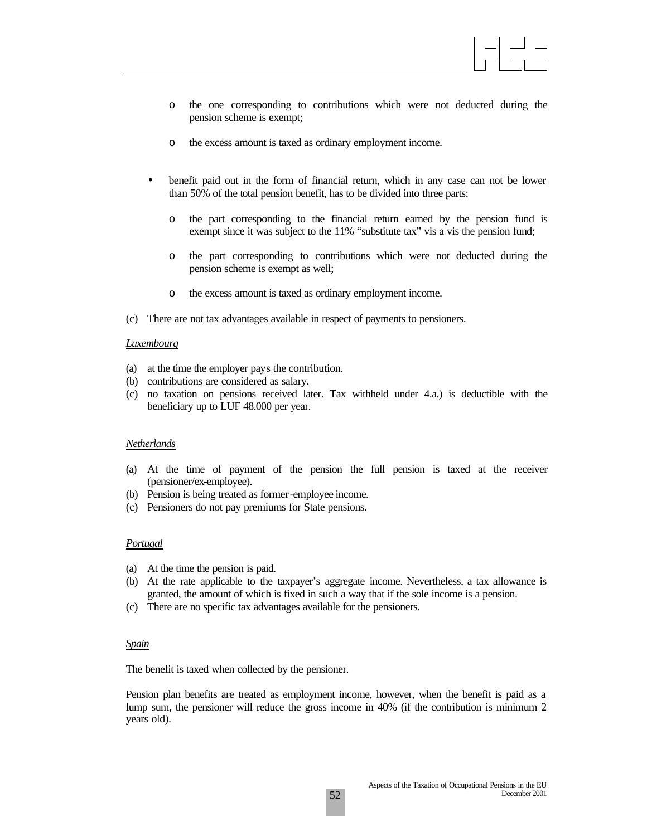- o the one corresponding to contributions which were not deducted during the pension scheme is exempt;
- o the excess amount is taxed as ordinary employment income.
- benefit paid out in the form of financial return, which in any case can not be lower than 50% of the total pension benefit, has to be divided into three parts:
	- o the part corresponding to the financial return earned by the pension fund is exempt since it was subject to the 11% "substitute tax" vis a vis the pension fund;
	- o the part corresponding to contributions which were not deducted during the pension scheme is exempt as well;
	- o the excess amount is taxed as ordinary employment income.
- (c) There are not tax advantages available in respect of payments to pensioners.

#### *Luxembourg*

- (a) at the time the employer pays the contribution.
- (b) contributions are considered as salary.
- (c) no taxation on pensions received later. Tax withheld under 4.a.) is deductible with the beneficiary up to LUF 48.000 per year.

#### *Netherlands*

- (a) At the time of payment of the pension the full pension is taxed at the receiver (pensioner/ex-employee).
- (b) Pension is being treated as former-employee income.
- (c) Pensioners do not pay premiums for State pensions.

#### *Portugal*

- (a) At the time the pension is paid.
- (b) At the rate applicable to the taxpayer's aggregate income. Nevertheless, a tax allowance is granted, the amount of which is fixed in such a way that if the sole income is a pension.
- (c) There are no specific tax advantages available for the pensioners.

#### *Spain*

The benefit is taxed when collected by the pensioner.

Pension plan benefits are treated as employment income, however, when the benefit is paid as a lump sum, the pensioner will reduce the gross income in 40% (if the contribution is minimum 2 years old).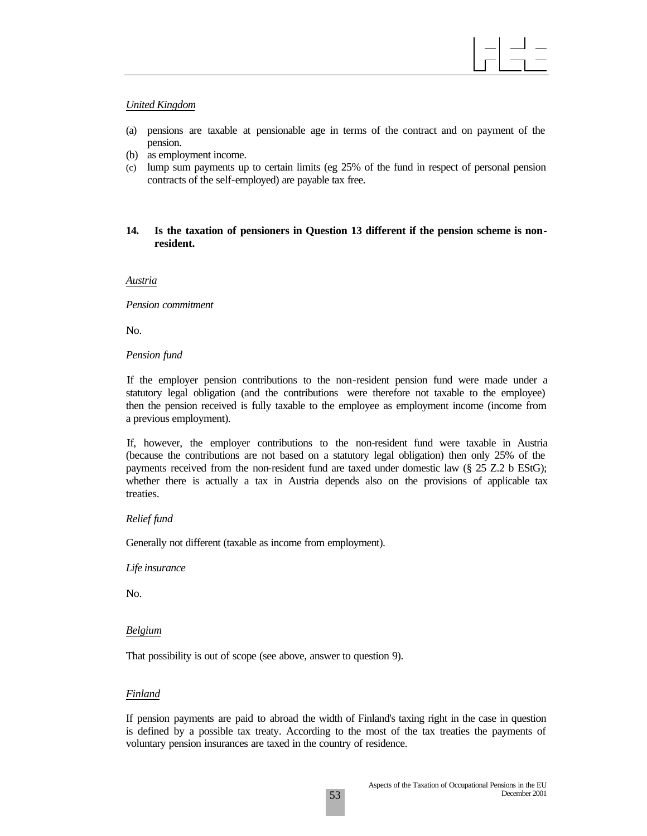#### *United Kingdom*

- (a) pensions are taxable at pensionable age in terms of the contract and on payment of the pension.
- (b) as employment income.
- (c) lump sum payments up to certain limits (eg 25% of the fund in respect of personal pension contracts of the self-employed) are payable tax free.

#### **14. Is the taxation of pensioners in Question 13 different if the pension scheme is nonresident.**

*Austria*

*Pension commitment*

No.

#### *Pension fund*

If the employer pension contributions to the non-resident pension fund were made under a statutory legal obligation (and the contributions were therefore not taxable to the employee) then the pension received is fully taxable to the employee as employment income (income from a previous employment).

If, however, the employer contributions to the non-resident fund were taxable in Austria (because the contributions are not based on a statutory legal obligation) then only 25% of the payments received from the non-resident fund are taxed under domestic law (§ 25 Z.2 b EStG); whether there is actually a tax in Austria depends also on the provisions of applicable tax treaties.

#### *Relief fund*

Generally not different (taxable as income from employment).

#### *Life insurance*

No.

#### *Belgium*

That possibility is out of scope (see above, answer to question 9).

#### *Finland*

If pension payments are paid to abroad the width of Finland's taxing right in the case in question is defined by a possible tax treaty. According to the most of the tax treaties the payments of voluntary pension insurances are taxed in the country of residence.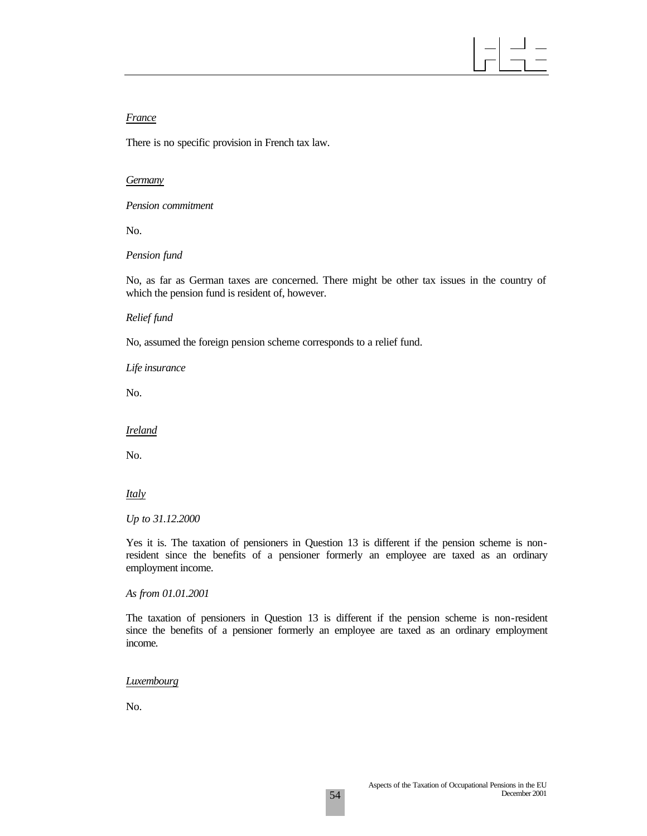## *France*

There is no specific provision in French tax law.

#### *Germany*

*Pension commitment*

No.

#### *Pension fund*

No, as far as German taxes are concerned. There might be other tax issues in the country of which the pension fund is resident of, however.

#### *Relief fund*

No, assumed the foreign pension scheme corresponds to a relief fund.

*Life insurance*

No.

*Ireland*

No.

#### *Italy*

#### *Up to 31.12.2000*

Yes it is. The taxation of pensioners in Question 13 is different if the pension scheme is nonresident since the benefits of a pensioner formerly an employee are taxed as an ordinary employment income.

*As from 01.01.2001*

The taxation of pensioners in Question 13 is different if the pension scheme is non-resident since the benefits of a pensioner formerly an employee are taxed as an ordinary employment income.

#### *Luxembourg*

No.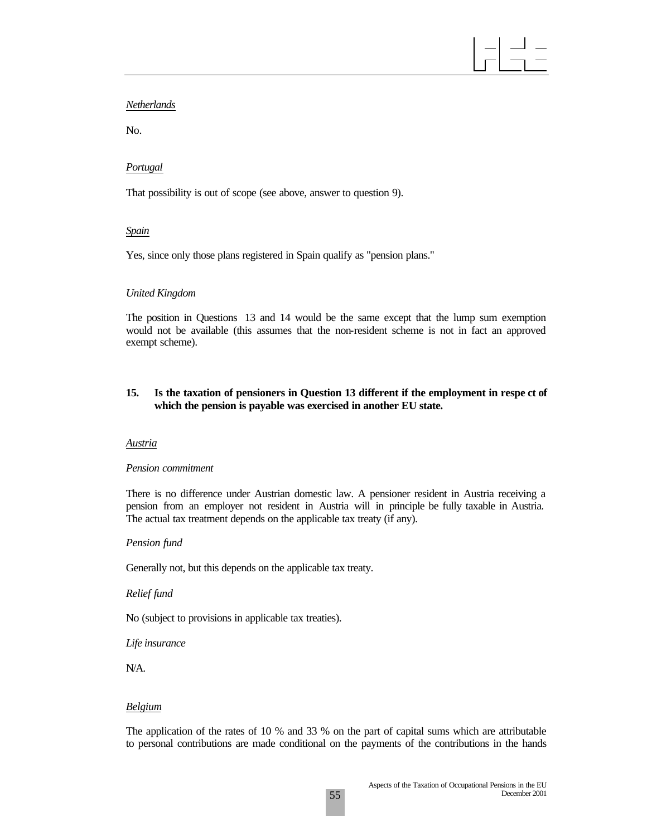#### *Netherlands*

No.

#### *Portugal*

That possibility is out of scope (see above, answer to question 9).

#### *Spain*

Yes, since only those plans registered in Spain qualify as "pension plans."

#### *United Kingdom*

The position in Questions 13 and 14 would be the same except that the lump sum exemption would not be available (this assumes that the non-resident scheme is not in fact an approved exempt scheme).

#### **15. Is the taxation of pensioners in Question 13 different if the employment in respe ct of which the pension is payable was exercised in another EU state.**

#### *Austria*

#### *Pension commitment*

There is no difference under Austrian domestic law. A pensioner resident in Austria receiving a pension from an employer not resident in Austria will in principle be fully taxable in Austria. The actual tax treatment depends on the applicable tax treaty (if any).

#### *Pension fund*

Generally not, but this depends on the applicable tax treaty.

#### *Relief fund*

No (subject to provisions in applicable tax treaties).

*Life insurance*

N/A.

#### *Belgium*

The application of the rates of 10 % and 33 % on the part of capital sums which are attributable to personal contributions are made conditional on the payments of the contributions in the hands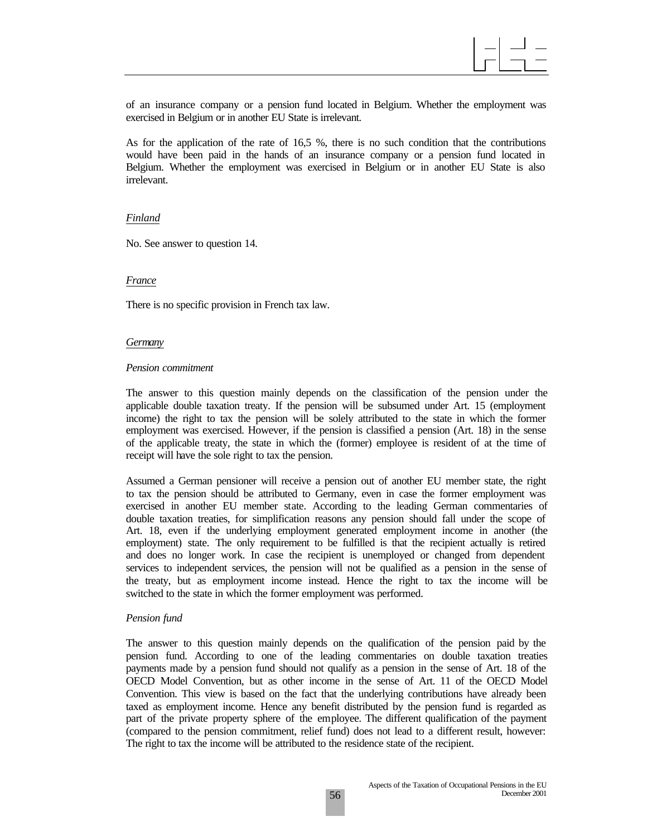of an insurance company or a pension fund located in Belgium. Whether the employment was exercised in Belgium or in another EU State is irrelevant.

As for the application of the rate of 16,5 %, there is no such condition that the contributions would have been paid in the hands of an insurance company or a pension fund located in Belgium. Whether the employment was exercised in Belgium or in another EU State is also irrelevant.

#### *Finland*

No. See answer to question 14.

#### *France*

There is no specific provision in French tax law.

#### *Germany*

#### *Pension commitment*

The answer to this question mainly depends on the classification of the pension under the applicable double taxation treaty. If the pension will be subsumed under Art. 15 (employment income) the right to tax the pension will be solely attributed to the state in which the former employment was exercised. However, if the pension is classified a pension (Art. 18) in the sense of the applicable treaty, the state in which the (former) employee is resident of at the time of receipt will have the sole right to tax the pension.

Assumed a German pensioner will receive a pension out of another EU member state, the right to tax the pension should be attributed to Germany, even in case the former employment was exercised in another EU member state. According to the leading German commentaries of double taxation treaties, for simplification reasons any pension should fall under the scope of Art. 18, even if the underlying employment generated employment income in another (the employment) state. The only requirement to be fulfilled is that the recipient actually is retired and does no longer work. In case the recipient is unemployed or changed from dependent services to independent services, the pension will not be qualified as a pension in the sense of the treaty, but as employment income instead. Hence the right to tax the income will be switched to the state in which the former employment was performed.

#### *Pension fund*

The answer to this question mainly depends on the qualification of the pension paid by the pension fund. According to one of the leading commentaries on double taxation treaties payments made by a pension fund should not qualify as a pension in the sense of Art. 18 of the OECD Model Convention, but as other income in the sense of Art. 11 of the OECD Model Convention. This view is based on the fact that the underlying contributions have already been taxed as employment income. Hence any benefit distributed by the pension fund is regarded as part of the private property sphere of the employee. The different qualification of the payment (compared to the pension commitment, relief fund) does not lead to a different result, however: The right to tax the income will be attributed to the residence state of the recipient.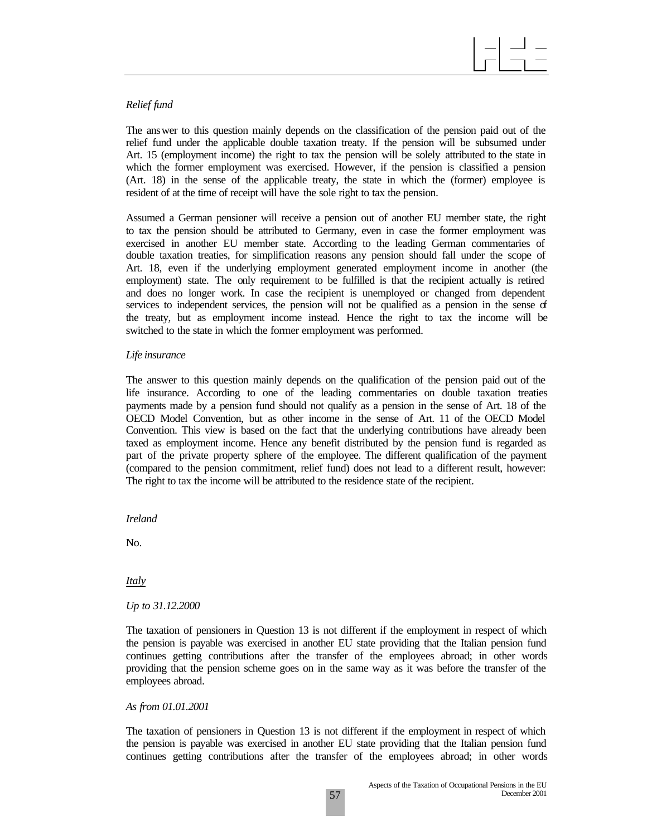#### *Relief fund*

The answer to this question mainly depends on the classification of the pension paid out of the relief fund under the applicable double taxation treaty. If the pension will be subsumed under Art. 15 (employment income) the right to tax the pension will be solely attributed to the state in which the former employment was exercised. However, if the pension is classified a pension (Art. 18) in the sense of the applicable treaty, the state in which the (former) employee is resident of at the time of receipt will have the sole right to tax the pension.

Assumed a German pensioner will receive a pension out of another EU member state, the right to tax the pension should be attributed to Germany, even in case the former employment was exercised in another EU member state. According to the leading German commentaries of double taxation treaties, for simplification reasons any pension should fall under the scope of Art. 18, even if the underlying employment generated employment income in another (the employment) state. The only requirement to be fulfilled is that the recipient actually is retired and does no longer work. In case the recipient is unemployed or changed from dependent services to independent services, the pension will not be qualified as a pension in the sense of the treaty, but as employment income instead. Hence the right to tax the income will be switched to the state in which the former employment was performed.

#### *Life insurance*

The answer to this question mainly depends on the qualification of the pension paid out of the life insurance. According to one of the leading commentaries on double taxation treaties payments made by a pension fund should not qualify as a pension in the sense of Art. 18 of the OECD Model Convention, but as other income in the sense of Art. 11 of the OECD Model Convention. This view is based on the fact that the underlying contributions have already been taxed as employment income. Hence any benefit distributed by the pension fund is regarded as part of the private property sphere of the employee. The different qualification of the payment (compared to the pension commitment, relief fund) does not lead to a different result, however: The right to tax the income will be attributed to the residence state of the recipient.

*Ireland*

No.

*Italy*

*Up to 31.12.2000*

The taxation of pensioners in Question 13 is not different if the employment in respect of which the pension is payable was exercised in another EU state providing that the Italian pension fund continues getting contributions after the transfer of the employees abroad; in other words providing that the pension scheme goes on in the same way as it was before the transfer of the employees abroad.

*As from 01.01.2001*

The taxation of pensioners in Question 13 is not different if the employment in respect of which the pension is payable was exercised in another EU state providing that the Italian pension fund continues getting contributions after the transfer of the employees abroad; in other words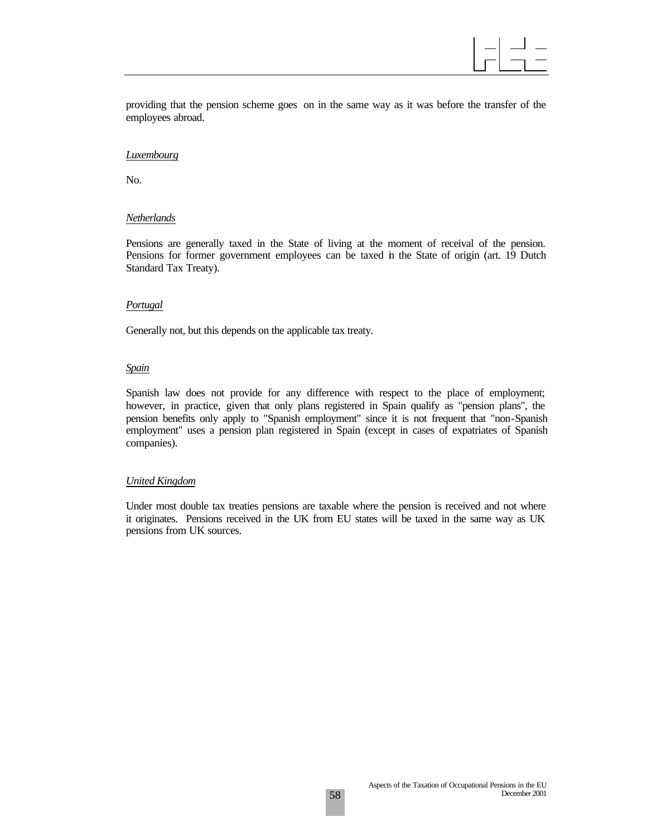providing that the pension scheme goes on in the same way as it was before the transfer of the employees abroad.

#### *Luxembourg*

No.

#### *Netherlands*

Pensions are generally taxed in the State of living at the moment of receival of the pension. Pensions for former government employees can be taxed in the State of origin (art. 19 Dutch Standard Tax Treaty).

#### *Portugal*

Generally not, but this depends on the applicable tax treaty.

#### *Spain*

Spanish law does not provide for any difference with respect to the place of employment; however, in practice, given that only plans registered in Spain qualify as "pension plans", the pension benefits only apply to "Spanish employment" since it is not frequent that "non-Spanish employment" uses a pension plan registered in Spain (except in cases of expatriates of Spanish companies).

#### *United Kingdom*

Under most double tax treaties pensions are taxable where the pension is received and not where it originates. Pensions received in the UK from EU states will be taxed in the same way as UK pensions from UK sources.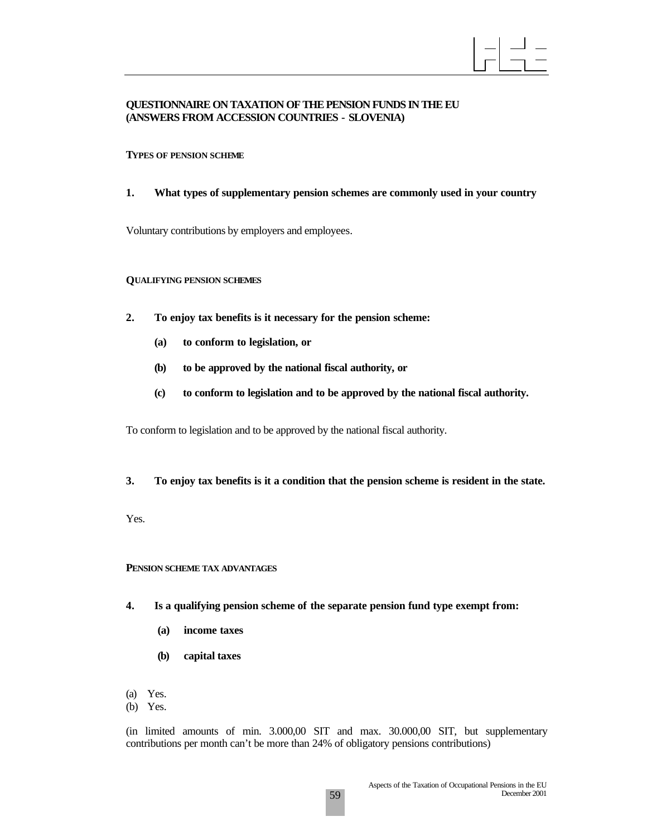

#### **QUESTIONNAIRE ON TAXATION OF THE PENSION FUNDS IN THE EU (ANSWERS FROM ACCESSION COUNTRIES - SLOVENIA)**

#### **TYPES OF PENSION SCHEME**

**1. What types of supplementary pension schemes are commonly used in your country**

Voluntary contributions by employers and employees.

#### **QUALIFYING PENSION SCHEMES**

- **2. To enjoy tax benefits is it necessary for the pension scheme:**
	- **(a) to conform to legislation, or**
	- **(b) to be approved by the national fiscal authority, or**
	- **(c) to conform to legislation and to be approved by the national fiscal authority.**

To conform to legislation and to be approved by the national fiscal authority.

**3. To enjoy tax benefits is it a condition that the pension scheme is resident in the state.**

Yes.

#### **PENSION SCHEME TAX ADVANTAGES**

- **4. Is a qualifying pension scheme of the separate pension fund type exempt from:**
	- **(a) income taxes**
	- **(b) capital taxes**
- (a) Yes.
- (b) Yes.

(in limited amounts of min. 3.000,00 SIT and max. 30.000,00 SIT, but supplementary contributions per month can't be more than 24% of obligatory pensions contributions)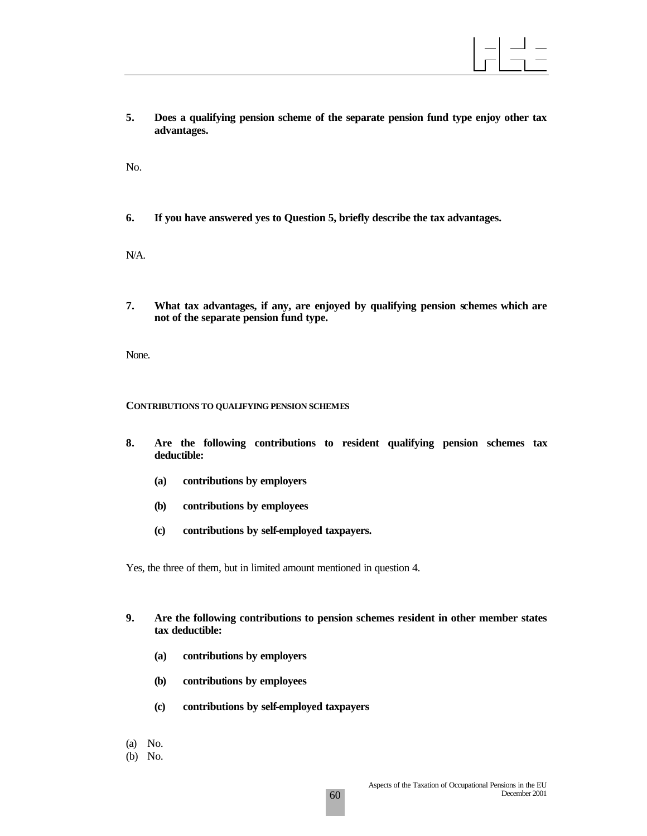**5. Does a qualifying pension scheme of the separate pension fund type enjoy other tax advantages.**

No.

**6. If you have answered yes to Question 5, briefly describe the tax advantages.**

N/A.

**7. What tax advantages, if any, are enjoyed by qualifying pension schemes which are not of the separate pension fund type.**

None.

#### **CONTRIBUTIONS TO QUALIFYING PENSION SCHEMES**

- **8. Are the following contributions to resident qualifying pension schemes tax deductible:**
	- **(a) contributions by employers**
	- **(b) contributions by employees**
	- **(c) contributions by self-employed taxpayers.**

Yes, the three of them, but in limited amount mentioned in question 4.

#### **9. Are the following contributions to pension schemes resident in other member states tax deductible:**

- **(a) contributions by employers**
- **(b) contributions by employees**
- **(c) contributions by self-employed taxpayers**
- (a) No.

#### (b) No.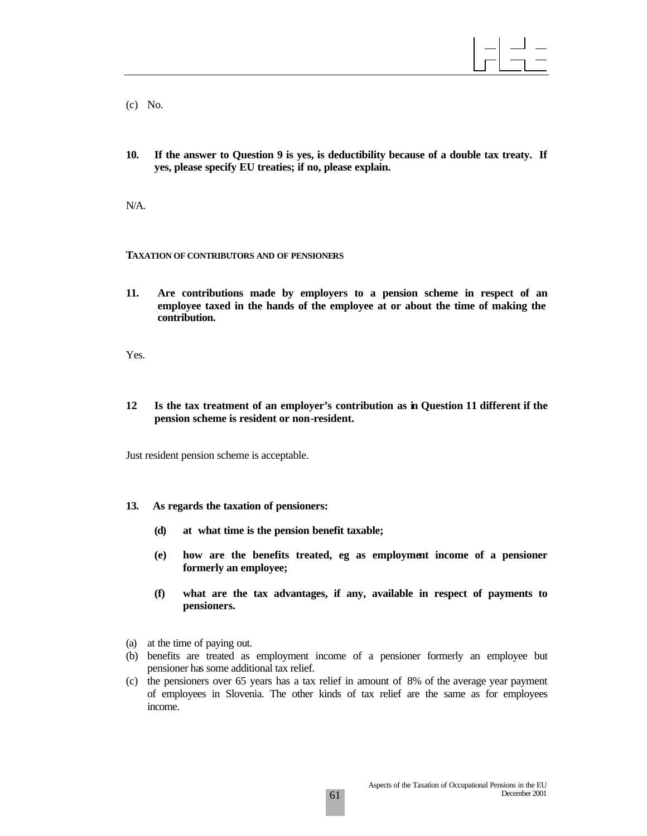(c) No.

**10. If the answer to Question 9 is yes, is deductibility because of a double tax treaty. If yes, please specify EU treaties; if no, please explain.**

N/A.

#### **TAXATION OF CONTRIBUTORS AND OF PENSIONERS**

**11. Are contributions made by employers to a pension scheme in respect of an employee taxed in the hands of the employee at or about the time of making the contribution.**

Yes.

**12 Is the tax treatment of an employer's contribution as in Question 11 different if the pension scheme is resident or non-resident.**

Just resident pension scheme is acceptable.

- **13. As regards the taxation of pensioners:**
	- **(d) at what time is the pension benefit taxable;**
	- **(e) how are the benefits treated, eg as employment income of a pensioner formerly an employee;**
	- **(f) what are the tax advantages, if any, available in respect of payments to pensioners.**
- (a) at the time of paying out.
- (b) benefits are treated as employment income of a pensioner formerly an employee but pensioner has some additional tax relief.
- (c) the pensioners over 65 years has a tax relief in amount of 8% of the average year payment of employees in Slovenia. The other kinds of tax relief are the same as for employees income.